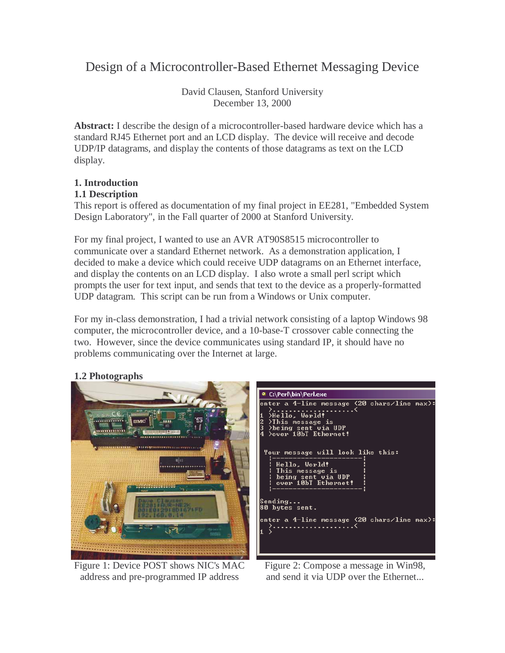# Design of a Microcontroller-Based Ethernet Messaging Device

David Clausen, Stanford University December 13, 2000

**Abstract:** I describe the design of a microcontroller-based hardware device which has a standard RJ45 Ethernet port and an LCD display. The device will receive and decode UDP/IP datagrams, and display the contents of those datagrams as text on the LCD display.

# **1. Introduction**

# **1.1 Description**

This report is offered as documentation of my final project in EE281, "Embedded System Design Laboratory", in the Fall quarter of 2000 at Stanford University.

For my final project, I wanted to use an AVR AT90S8515 microcontroller to communicate over a standard Ethernet network. As a demonstration application, I decided to make a device which could receive UDP datagrams on an Ethernet interface, and display the contents on an LCD display. I also wrote a small perl script which prompts the user for text input, and sends that text to the device as a properly-formatted UDP datagram. This script can be run from a Windows or Unix computer.

For my in-class demonstration, I had a trivial network consisting of a laptop Windows 98 computer, the microcontroller device, and a 10-base-T crossover cable connecting the two. However, since the device communicates using standard IP, it should have no problems communicating over the Internet at large.

# **1.2 Photographs**



Figure 1: Device POST shows NIC's MAC address and pre-programmed IP address

| e C:\Perl\bin\Perl.exe                                                                                                                                                                                                      |  |
|-----------------------------------------------------------------------------------------------------------------------------------------------------------------------------------------------------------------------------|--|
| enter a 4-line message (20 chars/line max):<br>>-----------------------<<br>>Hello, World!<br>1 > Actio; Noria.<br>2 >This message is<br>3 >being sent via UDP<br>Sover 10bT Ethernet!<br>Your message will look like this: |  |
| : Hello, World!<br>: This message is<br>: Dhis message is<br>: being sent via UDP<br>: over 10bT Ethernet!                                                                                                                  |  |
| Sending<br>80 bytes sent.                                                                                                                                                                                                   |  |
| enter a 4—line message (20 chars/line max):                                                                                                                                                                                 |  |

Figure 2: Compose a message in Win98, and send it via UDP over the Ethernet...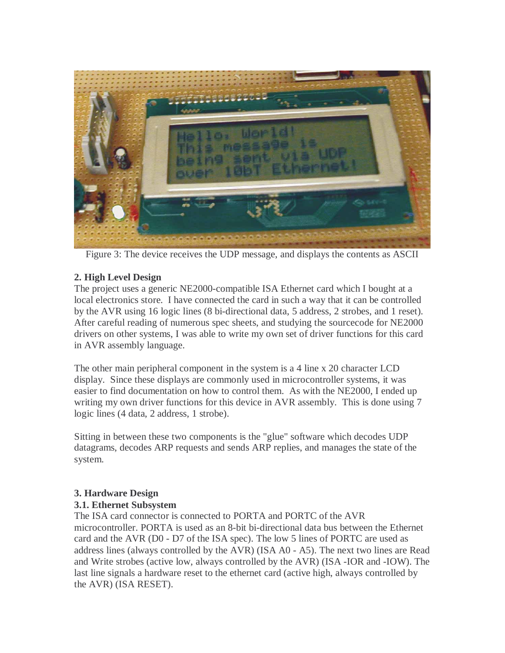

Figure 3: The device receives the UDP message, and displays the contents as ASCII

## **2. High Level Design**

The project uses a generic NE2000-compatible ISA Ethernet card which I bought at a local electronics store. I have connected the card in such a way that it can be controlled by the AVR using 16 logic lines (8 bi-directional data, 5 address, 2 strobes, and 1 reset). After careful reading of numerous spec sheets, and studying the sourcecode for NE2000 drivers on other systems, I was able to write my own set of driver functions for this card in AVR assembly language.

The other main peripheral component in the system is a 4 line x 20 character LCD display. Since these displays are commonly used in microcontroller systems, it was easier to find documentation on how to control them. As with the NE2000, I ended up writing my own driver functions for this device in AVR assembly. This is done using 7 logic lines (4 data, 2 address, 1 strobe).

Sitting in between these two components is the "glue" software which decodes UDP datagrams, decodes ARP requests and sends ARP replies, and manages the state of the system.

## **3. Hardware Design**

## **3.1. Ethernet Subsystem**

The ISA card connector is connected to PORTA and PORTC of the AVR microcontroller. PORTA is used as an 8-bit bi-directional data bus between the Ethernet card and the AVR (D0 - D7 of the ISA spec). The low 5 lines of PORTC are used as address lines (always controlled by the AVR) (ISA A0 - A5). The next two lines are Read and Write strobes (active low, always controlled by the AVR) (ISA -IOR and -IOW). The last line signals a hardware reset to the ethernet card (active high, always controlled by the AVR) (ISA RESET).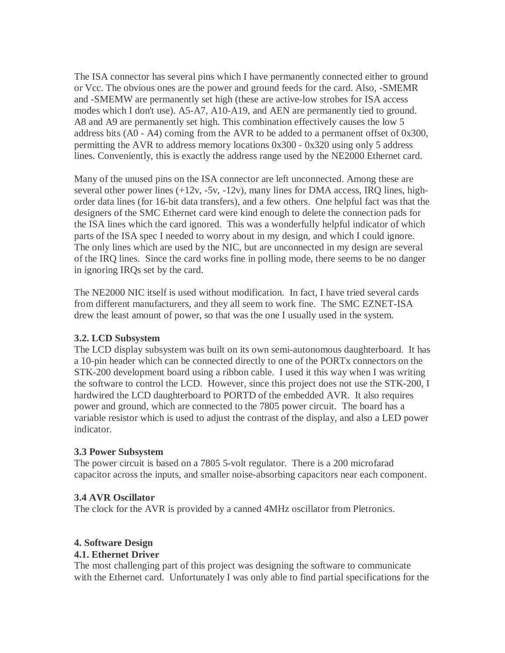The ISA connector has several pins which I have permanently connected either to ground or Vcc. The obvious ones are the power and ground feeds for the card. Also, -SMEMR and -SMEMW are permanently set high (these are active-low strobes for ISA access modes which I don't use). A5-A7, A10-A19, and AEN are permanently tied to ground. A8 and A9 are permanently set high. This combination effectively causes the low 5 address bits (A0 - A4) coming from the AVR to be added to a permanent offset of 0x300, permitting the AVR to address memory locations 0x300 - 0x320 using only 5 address lines. Conveniently, this is exactly the address range used by the NE2000 Ethernet card.

Many of the unused pins on the ISA connector are left unconnected. Among these are several other power lines  $(+12v, -5v, -12v)$ , many lines for DMA access, IRQ lines, highorder data lines (for 16-bit data transfers), and a few others. One helpful fact was that the designers of the SMC Ethernet card were kind enough to delete the connection pads for the ISA lines which the card ignored. This was a wonderfully helpful indicator of which parts of the ISA spec I needed to worry about in my design, and which I could ignore. The only lines which are used by the NIC, but are unconnected in my design are several of the IRQ lines. Since the card works fine in polling mode, there seems to be no danger in ignoring IRQs set by the card.

The NE2000 NIC itself is used without modification. In fact, I have tried several cards from different manufacturers, and they all seem to work fine. The SMC EZNET-ISA drew the least amount of power, so that was the one I usually used in the system.

## **3.2. LCD Subsystem**

The LCD display subsystem was built on its own semi-autonomous daughterboard. It has a 10-pin header which can be connected directly to one of the PORTx connectors on the STK-200 development board using a ribbon cable. I used it this way when I was writing the software to control the LCD. However, since this project does not use the STK-200, I hardwired the LCD daughterboard to PORTD of the embedded AVR. It also requires power and ground, which are connected to the 7805 power circuit. The board has a variable resistor which is used to adjust the contrast of the display, and also a LED power indicator.

## **3.3 Power Subsystem**

The power circuit is based on a 7805 5-volt regulator. There is a 200 microfarad capacitor across the inputs, and smaller noise-absorbing capacitors near each component.

## **3.4 AVR Oscillator**

The clock for the AVR is provided by a canned 4MHz oscillator from Pletronics.

# **4. Software Design**

## **4.1. Ethernet Driver**

The most challenging part of this project was designing the software to communicate with the Ethernet card. Unfortunately I was only able to find partial specifications for the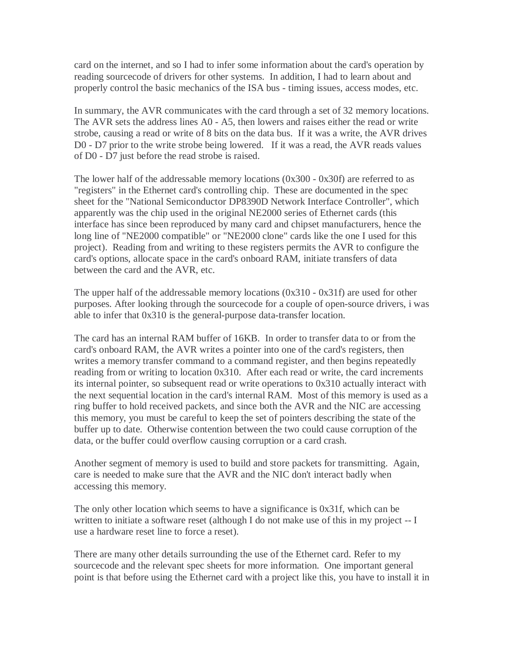card on the internet, and so I had to infer some information about the card's operation by reading sourcecode of drivers for other systems. In addition, I had to learn about and properly control the basic mechanics of the ISA bus - timing issues, access modes, etc.

In summary, the AVR communicates with the card through a set of 32 memory locations. The AVR sets the address lines A0 - A5, then lowers and raises either the read or write strobe, causing a read or write of 8 bits on the data bus. If it was a write, the AVR drives D0 - D7 prior to the write strobe being lowered. If it was a read, the AVR reads values of D0 - D7 just before the read strobe is raised.

The lower half of the addressable memory locations (0x300 - 0x30f) are referred to as "registers" in the Ethernet card's controlling chip. These are documented in the spec sheet for the "National Semiconductor DP8390D Network Interface Controller", which apparently was the chip used in the original NE2000 series of Ethernet cards (this interface has since been reproduced by many card and chipset manufacturers, hence the long line of "NE2000 compatible" or "NE2000 clone" cards like the one I used for this project). Reading from and writing to these registers permits the AVR to configure the card's options, allocate space in the card's onboard RAM, initiate transfers of data between the card and the AVR, etc.

The upper half of the addressable memory locations (0x310 - 0x31f) are used for other purposes. After looking through the sourcecode for a couple of open-source drivers, i was able to infer that 0x310 is the general-purpose data-transfer location.

The card has an internal RAM buffer of 16KB. In order to transfer data to or from the card's onboard RAM, the AVR writes a pointer into one of the card's registers, then writes a memory transfer command to a command register, and then begins repeatedly reading from or writing to location 0x310. After each read or write, the card increments its internal pointer, so subsequent read or write operations to 0x310 actually interact with the next sequential location in the card's internal RAM. Most of this memory is used as a ring buffer to hold received packets, and since both the AVR and the NIC are accessing this memory, you must be careful to keep the set of pointers describing the state of the buffer up to date. Otherwise contention between the two could cause corruption of the data, or the buffer could overflow causing corruption or a card crash.

Another segment of memory is used to build and store packets for transmitting. Again, care is needed to make sure that the AVR and the NIC don't interact badly when accessing this memory.

The only other location which seems to have a significance is 0x31f, which can be written to initiate a software reset (although I do not make use of this in my project -- I use a hardware reset line to force a reset).

There are many other details surrounding the use of the Ethernet card. Refer to my sourcecode and the relevant spec sheets for more information. One important general point is that before using the Ethernet card with a project like this, you have to install it in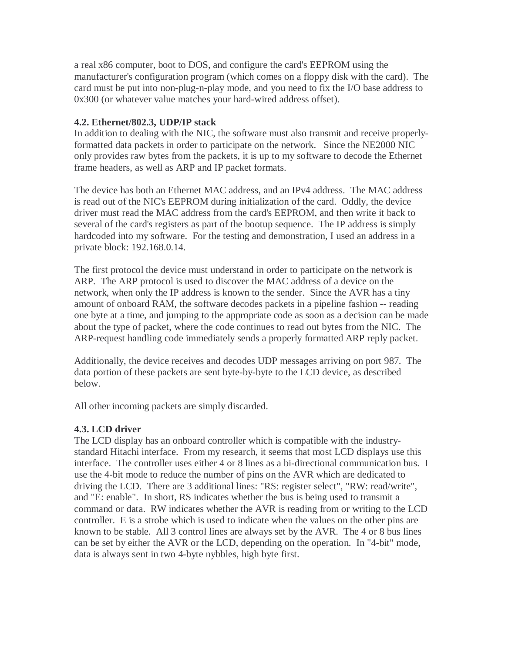a real x86 computer, boot to DOS, and configure the card's EEPROM using the manufacturer's configuration program (which comes on a floppy disk with the card). The card must be put into non-plug-n-play mode, and you need to fix the I/O base address to 0x300 (or whatever value matches your hard-wired address offset).

#### **4.2. Ethernet/802.3, UDP/IP stack**

In addition to dealing with the NIC, the software must also transmit and receive properlyformatted data packets in order to participate on the network. Since the NE2000 NIC only provides raw bytes from the packets, it is up to my software to decode the Ethernet frame headers, as well as ARP and IP packet formats.

The device has both an Ethernet MAC address, and an IPv4 address. The MAC address is read out of the NIC's EEPROM during initialization of the card. Oddly, the device driver must read the MAC address from the card's EEPROM, and then write it back to several of the card's registers as part of the bootup sequence. The IP address is simply hardcoded into my software. For the testing and demonstration, I used an address in a private block: 192.168.0.14.

The first protocol the device must understand in order to participate on the network is ARP. The ARP protocol is used to discover the MAC address of a device on the network, when only the IP address is known to the sender. Since the AVR has a tiny amount of onboard RAM, the software decodes packets in a pipeline fashion -- reading one byte at a time, and jumping to the appropriate code as soon as a decision can be made about the type of packet, where the code continues to read out bytes from the NIC. The ARP-request handling code immediately sends a properly formatted ARP reply packet.

Additionally, the device receives and decodes UDP messages arriving on port 987. The data portion of these packets are sent byte-by-byte to the LCD device, as described below.

All other incoming packets are simply discarded.

## **4.3. LCD driver**

The LCD display has an onboard controller which is compatible with the industrystandard Hitachi interface. From my research, it seems that most LCD displays use this interface. The controller uses either 4 or 8 lines as a bi-directional communication bus. I use the 4-bit mode to reduce the number of pins on the AVR which are dedicated to driving the LCD. There are 3 additional lines: "RS: register select", "RW: read/write", and "E: enable". In short, RS indicates whether the bus is being used to transmit a command or data. RW indicates whether the AVR is reading from or writing to the LCD controller. E is a strobe which is used to indicate when the values on the other pins are known to be stable. All 3 control lines are always set by the AVR. The 4 or 8 bus lines can be set by either the AVR or the LCD, depending on the operation. In "4-bit" mode, data is always sent in two 4-byte nybbles, high byte first.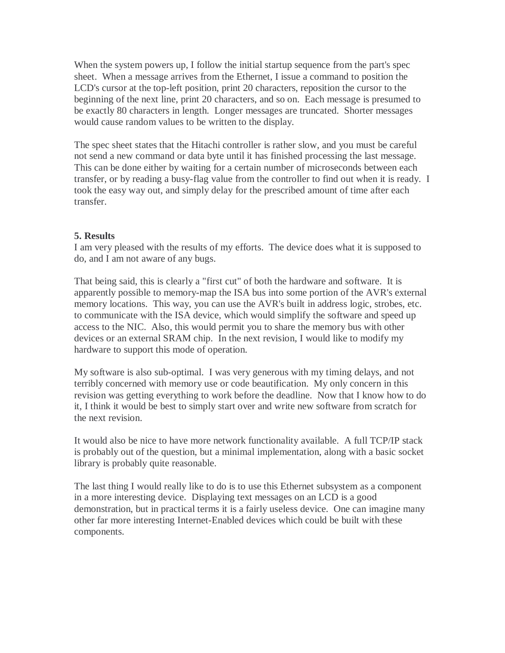When the system powers up, I follow the initial startup sequence from the part's spec sheet. When a message arrives from the Ethernet, I issue a command to position the LCD's cursor at the top-left position, print 20 characters, reposition the cursor to the beginning of the next line, print 20 characters, and so on. Each message is presumed to be exactly 80 characters in length. Longer messages are truncated. Shorter messages would cause random values to be written to the display.

The spec sheet states that the Hitachi controller is rather slow, and you must be careful not send a new command or data byte until it has finished processing the last message. This can be done either by waiting for a certain number of microseconds between each transfer, or by reading a busy-flag value from the controller to find out when it is ready. I took the easy way out, and simply delay for the prescribed amount of time after each transfer.

#### **5. Results**

I am very pleased with the results of my efforts. The device does what it is supposed to do, and I am not aware of any bugs.

That being said, this is clearly a "first cut" of both the hardware and software. It is apparently possible to memory-map the ISA bus into some portion of the AVR's external memory locations. This way, you can use the AVR's built in address logic, strobes, etc. to communicate with the ISA device, which would simplify the software and speed up access to the NIC. Also, this would permit you to share the memory bus with other devices or an external SRAM chip. In the next revision, I would like to modify my hardware to support this mode of operation.

My software is also sub-optimal. I was very generous with my timing delays, and not terribly concerned with memory use or code beautification. My only concern in this revision was getting everything to work before the deadline. Now that I know how to do it, I think it would be best to simply start over and write new software from scratch for the next revision.

It would also be nice to have more network functionality available. A full TCP/IP stack is probably out of the question, but a minimal implementation, along with a basic socket library is probably quite reasonable.

The last thing I would really like to do is to use this Ethernet subsystem as a component in a more interesting device. Displaying text messages on an LCD is a good demonstration, but in practical terms it is a fairly useless device. One can imagine many other far more interesting Internet-Enabled devices which could be built with these components.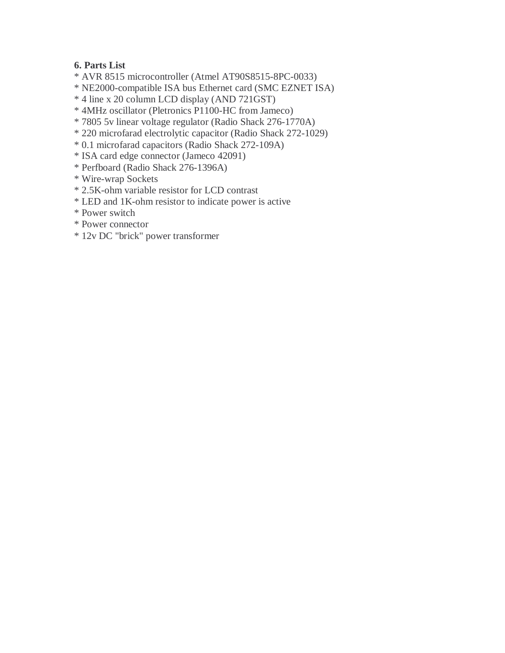# **6. Parts List**

- \* AVR 8515 microcontroller (Atmel AT90S8515-8PC-0033)
- \* NE2000-compatible ISA bus Ethernet card (SMC EZNET ISA)
- \* 4 line x 20 column LCD display (AND 721GST)
- \* 4MHz oscillator (Pletronics P1100-HC from Jameco)
- \* 7805 5v linear voltage regulator (Radio Shack 276-1770A)
- \* 220 microfarad electrolytic capacitor (Radio Shack 272-1029)
- \* 0.1 microfarad capacitors (Radio Shack 272-109A)
- \* ISA card edge connector (Jameco 42091)
- \* Perfboard (Radio Shack 276-1396A)
- \* Wire-wrap Sockets
- \* 2.5K-ohm variable resistor for LCD contrast
- \* LED and 1K-ohm resistor to indicate power is active
- \* Power switch
- \* Power connector
- \* 12v DC "brick" power transformer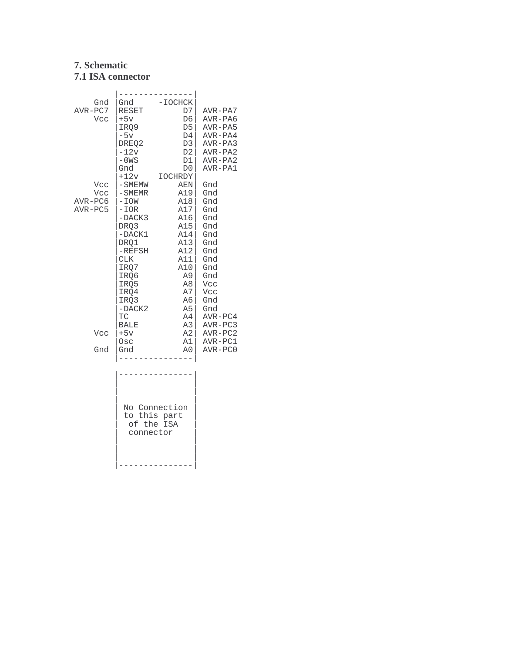# **7. Schematic 7.1 ISA connector**

| Gnd       | Gnd          | $-IOCHCK$      |           |
|-----------|--------------|----------------|-----------|
| AVR-PC7   | RESET        | D7             | AVR-PA7   |
| Vcc       | $+5v$        | D6             | AVR-PA6   |
|           | IRO9         | D5             | AVR-PA5   |
|           | $-5v$        | D4             | AVR-PA4   |
|           | DREO2        | D <sub>3</sub> | $AVR-PA3$ |
|           | $-12v$       | D <sub>2</sub> | AVR-PA2   |
|           | $-0WS$       | D1             | $AVR-PA2$ |
|           | Gnd          | D <sub>0</sub> | AVR-PA1   |
|           | $+12v$       | <b>IOCHRDY</b> |           |
| Vcc       | $-SMENT$     | AEN            | Gnd       |
| Vcc       | $-$ SMEMR    | A19            | Gnd       |
| $AVR-PC6$ | $-IOW$       | A18            | Gnd       |
| AVR-PC5   | $-IOR$       | $A17$          | Gnd       |
|           | -DACK3       | A16            | Gnd       |
|           | DRQ3         | A15            | Gnd       |
|           | $-DACK1$     | A14            | Gnd       |
|           | DRO1         | A13            | Gnd       |
|           | $-REFSH$     | A12            | Gnd       |
|           | <b>CLK</b>   | A11            | Gnd       |
|           | IRQ7         | A10            | Gnd       |
|           | IRO6         | A9             | Gnd       |
|           | IRQ5         | A8             | Vcc       |
|           | IRQ4         | A7             | Vcc       |
|           | IRO3         | A6             | Gnd       |
|           | -DACK2       | A <sub>5</sub> | Gnd       |
|           | TC           | A4             | AVR-PC4   |
|           | <b>BALE</b>  | A <sub>3</sub> | AVR-PC3   |
| Vcc       | $+5v$        | A2             | $AVR-PC2$ |
|           | Osc          | A1             | AVR-PC1   |
| Gnd       | Gnd          | A <sub>0</sub> | $AVR-PC0$ |
|           |              |                |           |
|           |              |                |           |
|           |              |                |           |
|           |              |                |           |
|           |              |                |           |
|           |              | No Connection  |           |
|           | to this part |                |           |
|           |              | of the ISA     |           |
|           | connector    |                |           |
|           |              |                |           |
|           |              |                |           |
|           |              |                |           |
|           |              |                |           |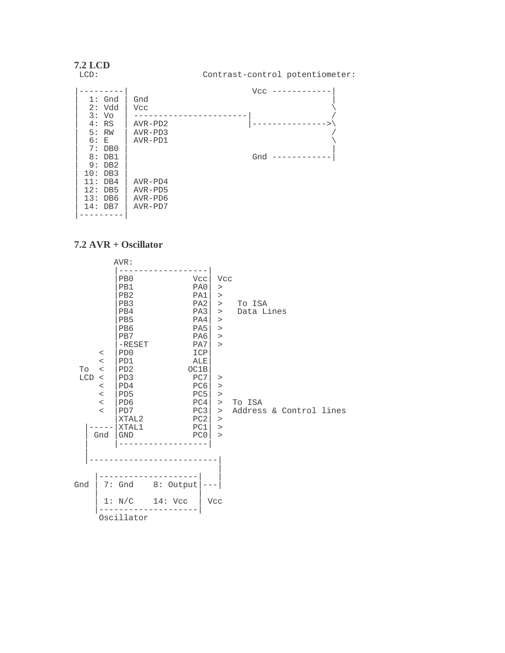| <b>7.2 LCD</b><br>LCD:                                                                    | Contrast-control potentiometer:                              |
|-------------------------------------------------------------------------------------------|--------------------------------------------------------------|
| $1:$ Gnd<br>2:Vdd<br>Vo<br>$\mathbf{3}$ :<br>4:RS<br>5:RW<br>6: E<br>7:<br>DB0            | Vcc<br>Gnd<br>Vcc<br>$AVR - PD2$<br>$AVR - PD3$<br>$AVR-PD1$ |
| DB1<br>8:<br>DB2<br>9 :<br>DB3<br>10:<br>DB4<br>11:<br>12:<br>DB5<br>13: DB6<br>$14:$ DB7 | Gnd<br>$AVR-PD4$<br>$AVR - PD5$<br>$AVR-PD6$<br>$AVR-PD7$    |

#### **7.2 AVR + Oscillator**

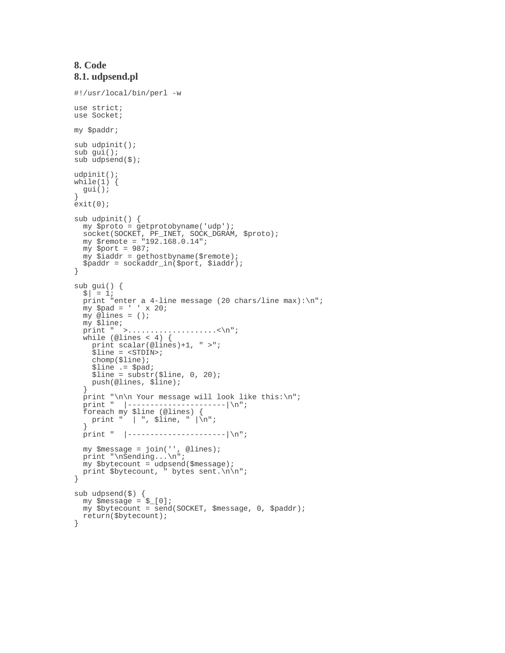#### **8. Code 8.1. udpsend.pl**

```
#!/usr/local/bin/perl -w
use strict;
use Socket;
my $paddr;
sub udpinit();
sub gui();
sub udpsend($);
udpinit();
while(1) {
 gui();
}
ext(0);sub udpinit() {
 my $proto = getprotobyname('udp');
  socket(SOCKET, PF_INET, SOCK_DGRAM, $proto);
  my $remote = "192.168.0.14";
 my $port = 987;
  my $iaddr = gethostbyname($remote);
  $paddr = sockaddr_in($port, $iaddr);
}
\begin{cases}\n\text{sub} \text{gui}(i) \\
\text{s} \mid = 1; \n\end{cases}print "enter a 4-line message (20 chars/line max):\n";
  my $pad = ' ' x 20;
  my @lines = ();
  my $line;
  print " >........................<\n";
  while (@lines < 4) {
    print scalar(@lines)+1, " >";
    $line = <STDIN>;
    chomp($line);
    $line .= $pad;
    $line = substr ($line, 0, 20);push(@lines, $line);
  }
  print "\n\n Your message will look like this:\n";
  print " |----------------------|\n";
  foreach my $line (@lines) {
   print " | ", $line, " |\n\ranglen";
  print " |----------------------|\n";
  my $message = join('', @lines);
  print "\nSending...\n";
 m_y $bytecount = udpsend($message);
  print $bytecount, " bytes sent.\n\n";
}
sub udpsend($) {
  my $message = $_[0];
  my $bytecount = send(SOCKET, $message, 0, $paddr);
  return($bytecount);
}
```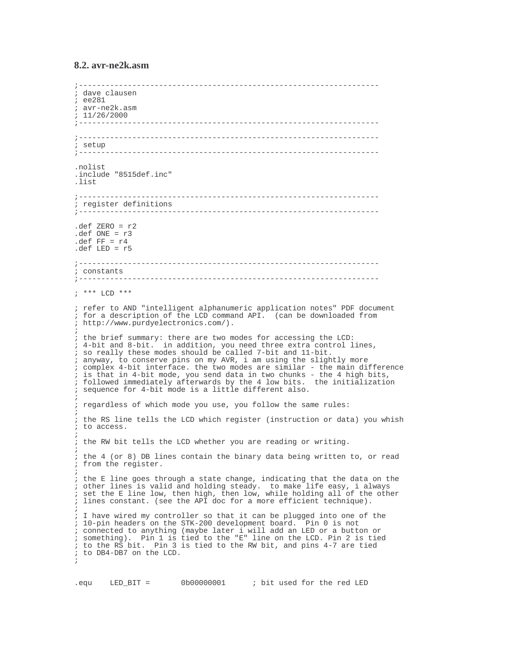#### **8.2. avr-ne2k.asm**

```
;-------------------------------------------------------------------
; dave clausen
; ee281
; avr-ne2k.asm
; 11/26/2000
;-------------------------------------------------------------------
;-------------------------------------------------------------------
; setup
       ;-------------------------------------------------------------------
.nolist
.include "8515def.inc"
.list
;-------------------------------------------------------------------
; register definitions
                     ;-------------------------------------------------------------------
.def ZERO = r2\det ONE = r3.def FF = r4.def LED = r5;-------------------------------------------------------------------
; constants
              ;-------------------------------------------------------------------
; *** LCD ***
; refer to AND "intelligent alphanumeric application notes" PDF document
; for a description of the LCD command API. (can be downloaded from
; http://www.purdyelectronics.com/).
;
; the brief summary: there are two modes for accessing the LCD:
; 4-bit and 8-bit. in addition, you need three extra control lines,
; so really these modes should be called 7-bit and 11-bit.
; anyway, to conserve pins on my AVR, i am using the slightly more
; complex 4-bit interface. the two modes are similar - the main difference
; is that in 4-bit mode, you send data in two chunks - the 4 high bits,
; followed immediately afterwards by the 4 low bits. the initialization
; sequence for 4-bit mode is a little different also.
;
; regardless of which mode you use, you follow the same rules:
;
; the RS line tells the LCD which register (instruction or data) you whish
; to access.
;
; the RW bit tells the LCD whether you are reading or writing.
;
; the 4 (or 8) DB lines contain the binary data being written to, or read
; from the register.
;
; the E line goes through a state change, indicating that the data on the
; other lines is valid and holding steady. to make life easy, i always
; set the E line low, then high, then low, while holding all of the other
; lines constant. (see the API doc for a more efficient technique).
;
; I have wired my controller so that it can be plugged into one of the
; 10-pin headers on the STK-200 development board. Pin 0 is not
; connected to anything (maybe later i will add an LED or a button or
; something). Pin 1 is tied to the "E" line on the LCD. Pin 2 is tied
; to the RS bit. Pin 3 is tied to the RW bit, and pins 4-7 are tied
; to DB4-DB7 on the LCD.
;
```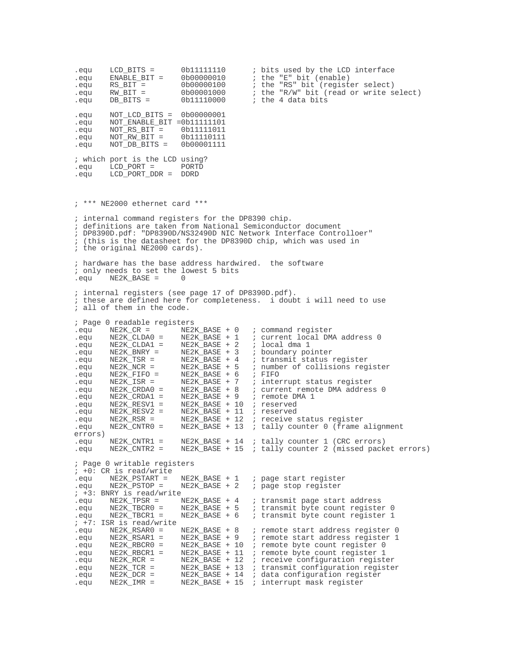equ LCD\_BITS = 0b11111110 ; bits used by the LCD interface<br>.equ ENABLE\_BIT = 0b00000010 ; the "E" bit (enable) .equ ENABLE\_BIT = 0b00000010 ; the "E" bit (enable) .equ RS\_BIT = 0b00000100 ; the "RS" bit (register select)  $\overline{eq}$  RW\_BIT = 0b00001000 ; the "R/W" bit (read or write select)<br>equ DB\_BITS = 0b111110000 ; the 4 data bits  $i$  the 4 data bits .equ NOT\_LCD\_BITS = 0b00000001 .equ NOT\_ENABLE\_BIT =0b11111101 NOT\_RS\_BIT = 0b11111011<br>NOT\_RW\_BIT = 0b11110111 .equ NOT\_RW\_BIT = 0b11110111  $NOT$  $DB$  $BITS =$ % which port is the LCD using?<br>.equ LCD\_PORT = PORTD .equ LCD\_PORT = PORTD .equ LCD\_PORT\_DDR = DDRD ; \*\*\* NE2000 ethernet card \*\*\* ; internal command registers for the DP8390 chip. ; definitions are taken from National Semiconductor document ; DP8390D.pdf: "DP8390D/NS32490D NIC Network Interface Controlloer" ; (this is the datasheet for the DP8390D chip, which was used in ; the original NE2000 cards). ; hardware has the base address hardwired. the software ; only needs to set the lowest 5 bits  $NE2K$  BASE = ; internal registers (see page 17 of DP8390D.pdf). ; these are defined here for completeness. i doubt i will need to use ; all of them in the code. ; Page 0 readable registers equ NE2K\_CR = NE2K\_BASE + 0 ; command register.<br>equ NE2K\_CLDA0 = NE2K\_BASE + 1 ; current local DM % current local DMA address 0<br>% local dma 1<br>% boundary pointer .equ NE2K\_CLDA1 = NE2K\_BASE + 2 ; local dma 1 .equ NE2K\_BNRY = NE2K\_BASE + 3 ; boundary pointer equ NE2K\_BNRI = NE2K\_BASE + 3 ; boundary pointer.<br>
equ NE2K\_TSR = NE2K\_BASE + 4 ; transmit status register.<br>
equ NE2K\_NCR = NE2K\_BASE + 5 ; number of collisions reg. equ NE2K\_NCR = NE2K\_BASE + 5 ; number of collisions register<br>
.equ NE2K\_FIFO = NE2K\_BASE + 6 ; FIFO<br>
.equ NE2K\_ISR = NE2K\_BASE + 7 ; interrupt status register .equ NE2K\_FIFO = NE2K\_BASE + 6 ; FIFO .equ NE2K\_FIFO = NE2K\_BASE + 6 ; FIFO<br>.equ NE2K\_ISR = NE2K\_BASE + 7 ; interrupt status register<br>.equ NE2K\_CRDA0 = NE2K\_BASE + 8 ; current remote DMA addres; .equ NE2K\_CRDA0 = NE2K\_BASE + 8 ; current remote DMA address 0<br>.equ NE2K\_CRDA1 = NE2K\_BASE + 9 ; remote DMA 1 .equ NE2K\_CRDA1 = NE2K\_BASE + 9 ; remote DMA 1 .equ NE2K\_RESV1 = NE2K\_BASE + 10 ; reserved .equ NE2K\_RESV2 = NE2K\_BASE + 11 ; reserved<br>.equ NE2K\_RESV2 = NE2K\_BASE + 11 ; reserved .equ NE2K\_RSR = NE2K\_BASE + 12 ; receive status register .equ NE2K\_CNTR0 = NE2K\_BASE + 13 ; tally counter 0 (frame alignment errors) .equ NE2K\_CNTR1 = NE2K\_BASE + 14 ; tally counter 1 (CRC errors)<br>.equ NE2K\_CNTR2 = NE2K\_BASE + 15 ; tally counter 2 (missed pack .equ NE2K\_CNTR2 = NE2K\_BASE + 15 ; tally counter 2 (missed packet errors) ; Page 0 writable registers  $; +0.$  CR is read/write<br>.equ NE2K PSTART = .equ NE2K\_PSTART = NE2K\_BASE + 1 ; page start register . page stop register ; +3: BNRY is read/write NE2K\_TPSR = NE2K\_BASE + 4 ; transmit page start address<br>NE2K\_TBCR0 = NE2K\_BASE + 5 ; transmit byte count registe: .equ NE2K\_TBCR0 = NE2K\_BASE + 5 ; transmit byte count register 0 : transmit byte count register 1 ; +7: ISR is read/write equ NE2K\_RSAR0 = NE2K\_BASE + 8 ; remote start address register 0<br>equ NE2K\_RSAR1 = NE2K\_BASE + 9 ; remote start address register 1. NE2K\_RSAR1 = NE2K\_BASE + 9 ; remote start address register 1<br>NE2K\_RBCR0 = NE2K\_BASE + 10 ; remote byte count register 0 .equ NE2K\_RBCR0 = NE2K\_BASE + 10 ; remote byte count register 0<br>.equ NE2K\_RBCR1 = NE2K\_BASE + 11 ; remote byte count register 1 NE2K\_RBCR1 = NE2K\_BASE + 11 ; remote byte count register 1<br>NE2K\_RCR = NE2K\_BASE + 12 ; receive configuration register .equ NE2K\_RCR = NE2K\_BASE + 12 ; receive configuration register .equ NE2K\_TCR = NE2K\_BASE + 13 ; transmit configuration register .equ NE2K\_DCR = NE2K\_BASE + 14 ; data configuration register .equ NE2K\_IMR = NE2K\_BASE + 15 ; interrupt mask register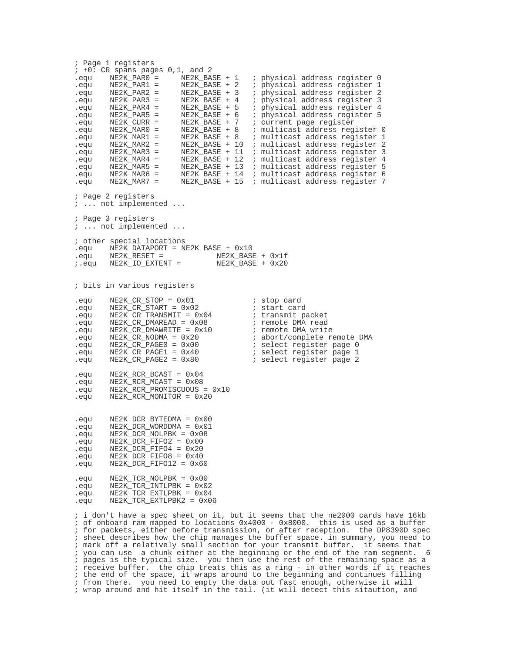; Page 1 registers  $; +0$ : CR spans pages  $0,1$ , and 2 equ NE2K\_PAR0 = NE2K\_BASE + 1 ; physical address register 0.<br>equ NE2K PAR1 = NE2K BASE + 2 ; physical address register 1. .equ NE2K\_PAR1 = NE2K\_BASE + 2 ; physical address register 1 .equ NE2K\_PAR2 = NE2K\_BASE + 3 ; physical address register 2 .equ NE2K\_PAR3 = NE2K\_BASE + 4 ; physical address register 3 .equ NE2K\_PAR4 = NE2K\_BASE + 5 ; physical address register 4 .equ NE2K\_PAR5 = NE2K\_BASE + 6 ; physical address register 5 .equ NE2K\_CURR = NE2K\_BASE + 7 ; current page register .equ NE2K\_MAR0 = NE2K\_BASE + 8 ; multicast address register 0 .equ NE2K\_MAR1 = NE2K\_BASE + 8 ; multicast address register 1 .equ NE2K\_MAR2 = NE2K\_BASE + 10 ; multicast address register 2 .equ NE2K\_MAR3 = NE2K\_BASE + 11 ; multicast address register 3 .equ NE2K\_MAR4 = NE2K\_BASE + 12 ; multicast address register 4 .equ NE2K\_MAR5 = NE2K\_BASE + 13 ; multicast address register 5 .equ NE2K\_MAR6 = NE2K\_BASE + 14 ; multicast address register 6 .equ NE2K\_MAR7 = NE2K\_BASE + 15 ; multicast address register 7 ; Page 2 registers ; ... not implemented ... ; Page 3 registers ; ... not implemented ... ; other special locations .equ NE2K\_DATAPORT = NE2K\_BASE + 0x10  $\begin{array}{lll} \texttt{.equ} & \texttt{NE2K\_RESET =} & \texttt{NE2K\_BASE + 0x1f} \\ \texttt{7.equ} & \texttt{NE2K\_IO\_EXTENT =} & \texttt{NE2K\_BASE + 0x20} \end{array}$  $i.equ$  NE2K IO\_EXTENT = ; bits in various registers .equ NE2K\_CR\_STOP = 0x01 i stop card .equ NE2K\_CR\_START = 0x02 ; start card .equ NE2K\_CR\_TRANSMIT =  $0x04$  ; transmit packet<br>.equ NE2K\_CR\_DMAREAD =  $0x08$  ; remote DMA read  $NE2K_CCR_DMAREAD = 0x08$  ; remote  $DMA$  read  $NE2K_CCR_DMAWRITE = 0x10$  ; remote  $DMA$  write  $\text{eequ}$   $\text{NE2K}_{\text{CR}}$   $\text{DMAWRITE} = 0 \times 10$ <br> $\text{Fequ}$   $\text{NE2K}$   $\text{CR}$   $\text{NODMA} = 0 \times 20$ NE2K\_CR\_NODMA = 0x20 <br>NE2K\_CR\_PAGE0 = 0x00 <br>i select register page 0 .equ NE2K\_CR\_PAGE0 = 0x00 ; select register page 0 .equ NE2K\_CR\_PAGE1 = 0x40 ; select register page 1 .equ NE2K\_CR\_PAGE2 = 0x80 ; select register page 2 .equ NE2K\_RCR\_BCAST = 0x04 .equ NE2K\_RCR\_MCAST = 0x08 .equ NE2K\_RCR\_PROMISCUOUS = 0x10  $NE2K$  $RCR$  MONITOR =  $0x20$ .equ NE2K\_DCR\_BYTEDMA = 0x00  $NE2K_DCR_WORDDMA = 0x01$  $\text{eq}$ u NE2K\_DCR\_NOLPBK = 0x08<br> $\text{eq}$ u NE2K DCR FIFO2 = 0x00 .equ NE2K\_DCR\_FIFO2 = 0x00  $\text{eq}$ u NE2K\_DCR\_FIFO4 = 0x20<br> $\text{eq}$ equ NE2K\_DCR\_FIFO8 = 0x40  $NE2K_DCR$  FIFO8 =  $0x40$  $equ$  NE2K\_DCR\_FIFO12 =  $0x60$ .equ NE2K\_TCR\_NOLPBK = 0x00 .equ NE2K\_TCR\_INTLPBK = 0x02 .equ NE2K\_TCR\_EXTLPBK = 0x04 .equ NE2K\_TCR\_EXTLPBK2 = 0x06 ; i don't have a spec sheet on it, but it seems that the ne2000 cards have 16kb ; of onboard ram mapped to locations 0x4000 - 0x8000. this is used as a buffer

; for packets, either before transmission, or after reception. the DP8390D spec ; sheet describes how the chip manages the buffer space. in summary, you need to ; mark off a relatively small section for your transmit buffer. it seems that ; you can use a chunk either at the beginning or the end of the ram segment. 6 ; pages is the typical size. you then use the rest of the remaining space as a ; receive buffer. the chip treats this as a ring - in other words if it reaches ; the end of the space, it wraps around to the beginning and continues filling ; from there. you need to empty the data out fast enough, otherwise it will ; wrap around and hit itself in the tail. (it will detect this sitaution, and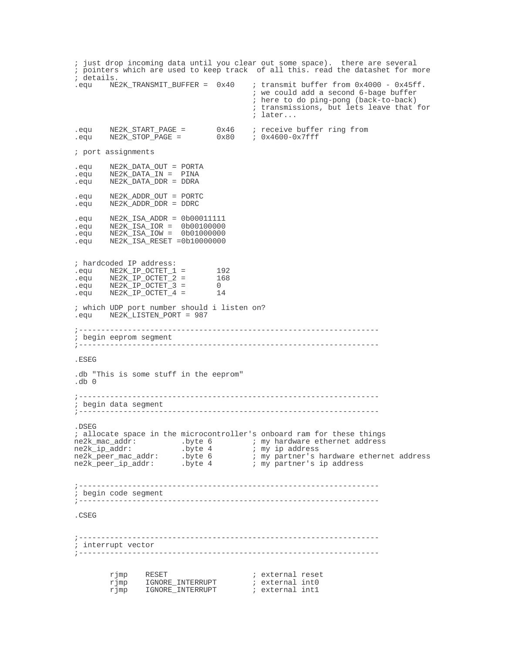; just drop incoming data until you clear out some space). there are several ; pointers which are used to keep track of all this. read the datashet for more ; details.  $i$  transmit buffer from  $0x4000 - 0x45ff$ . ; we could add a second 6-bage buffer ; here to do ping-pong (back-to-back) ; transmissions, but lets leave that for ; later... .equ NE2K\_START\_PAGE = 0x46 ; receive buffer ring from .equ NE2K\_STOP\_PAGE = 0x80 ; 0x4600-0x7fff ; port assignments .equ NE2K\_DATA\_OUT = PORTA  $NE2K$  DATA IN = PINA .equ NE2K\_DATA\_DDR = DDRA .equ NE2K\_ADDR\_OUT = PORTC  $NE2K\_ADDR\_DDR = DDR$ .equ NE2K\_ISA\_ADDR = 0b00011111 .equ NE2K\_ISA\_IOR = 0b00100000 .equ NE2K\_ISA\_IOW = 0b01000000 .equ NE2K\_ISA\_RESET =0b10000000 ; hardcoded IP address: .equ NE2K\_IP\_OCTET\_1 = 192 .equ NE2K\_IP\_OCTET\_2 = 168 .equ NE2K\_IP\_OCTET\_3 = 0 .equ NE2K\_IP\_OCTET\_4 = 14 ; which UDP port number should i listen on? .equ NE2K\_LISTEN\_PORT = 987 ;------------------------------------------------------------------- ; begin eeprom segment ;------------------------------------------------------------------- .ESEG .db "This is some stuff in the eeprom" .db 0 ;------------------------------------------------------------------- ; begin data segment<br>;--------------------;------------------------------------------------------------------- .DSEG ; allocate space in the microcontroller's onboard ram for these things ne2k\_mac\_addr: .byte 6 ; my hardware ethernet address ne2k\_ip\_addr: .byte 4 ; my ip address ne2k\_peer\_mac\_addr: .byte 6 ; my partner's hardware ethernet address ne2k\_peer\_ip\_addr: .byte 4 ; my partner's ip address ;------------------------------------------------------------------- ; begin code segment ;------------------------------------------------------------------- .CSEG ;------------------------------------------------------------------- ; interrupt vector ;------------------------------------------------------------------ rjmp RESET ; external reset rjmp IGNORE\_INTERRUPT ; external int0 rjmp IGNORE\_INTERRUPT ; external int1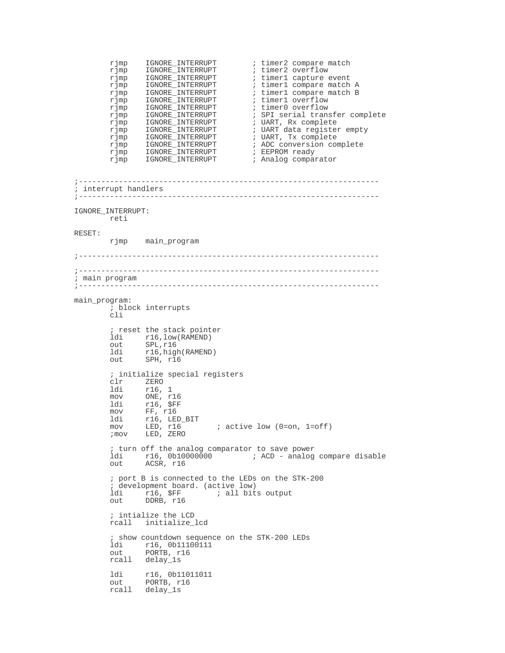```
rjmp IGNORE_INTERRUPT ; timer2 compare match
           rjmp IGNORE_INTERRUPT ; timer2 overflow<br>
rjmp IGNORE_INTERRUPT ; timer1 capture e<br>
rjmp IGNORE_INTERRUPT ; timer1 compare r<br>
\begin{array}{ccc} \n\text{Fimp} & \text{IGNORE} & \text{INTERUPT} \\
\text{Fimp} & \text{IGNORE} & \text{INTERUPT} \\
\end{array} ; timer1 compare r
           rjmp IGNORE_INTERRUPT ; timer1 capture event
           rjmp IGNORE_INTERRUPT ; timer1 compare match A
           rjmp   IGNORE_INTERRUPT          ; timer1 compare match B
           rjmp IGNORE_INTERRUPT ; timer1 overflow
           rjmp IGNORE_INTERRUPT<br>rjmp IGNORE_INTERRUPT<br>0 ONDRE_INTERRUPT
           rjmp IGNORE_INTERRUPT ; statend overflow<br>
rjmp IGNORE_INTERRUPT ; SPI serial transfer complete<br>
rjmp IGNORE_INTERRUPT ; UART, Rx complete<br>
rjmp IGNORE_INTERRUPT ; UART data register empty
           rjmp IGNORE_INTERRUPT ; UART, Rx complete
           rjmp IGNORE_INTERRUPT ; UART data register empty
           rjmp IGNORE_INTERRUPT ; UART, Tx complete
           rjmp IGNORE_INTERRUPT ; ADC conversion complete
           \begin{tabular}{ll} $\texttt{r}\bar{j}\bar{\texttt{mp}}$ & \texttt{IGNORE\_INTERKUPT}$\\ $\texttt{r}\bar{j}\bar{\texttt{mp}}$ & \texttt{IGNORE\_INTERKUPT}$\\ $\texttt{r}\bar{j}\bar{\texttt{mp}}$ & \texttt{IGNORE\_INTERKUPT}$ \end{tabular}; EEPROM ready<br>; Analog comparator
;-------------------------------------------------------------------
; interrupt handlers
;-------------------------------------------------------------------
IGNORE_INTERRUPT:
          reti
RESET:
          rjmp main_program
;-------------------------------------------------------------------
;-------------------------------------------------------------------
; main program
;-------------------------------------------------------------------
main_program:
          ; block interrupts
           cli
             reset the stack pointer
           ldi r16, low(RAMEND)<br>out SPL, r16
           out SPL, r16<br>ldi r16 hig
           ldi r16, high(RAMEND)<br>out SPH, r16
                    SPH, r16; initialize special registers
           clr ZERO<br>ldi r16,
           1di r16, 1<br>mov ONE. r
           mov ONE, r16<br>1di r16, $FF
           ldi r16, $FF<br>mov FF, r16
                   FF, r16ldi r16, LED_BIT
                                         i active low (0=on, 1=off)
           ;mov LED, ZERO
           ; turn off the analog comparator to save power
           ldi r16, 0b10000000 ; ACD - analog compare disable
           out ACSR, r16
           ; port B is connected to the LEDs on the STK-200
           ; development board. (active low)
           ldi r16, $FF ; all bits output<br>out DDRB, r16
                    right of the result<br>
r16, $FF<br>
DDRB, r16
           ; intialize the LCD
          rcall initialize_lcd
           ; show countdown sequence on the STK-200 LEDs
           ldi r16, 0b11100111
           out PORTB, r16
           rcall delay_1s
           ldi r16, 0b11011011
           out PORTB, r16
          rcall delay_1s
```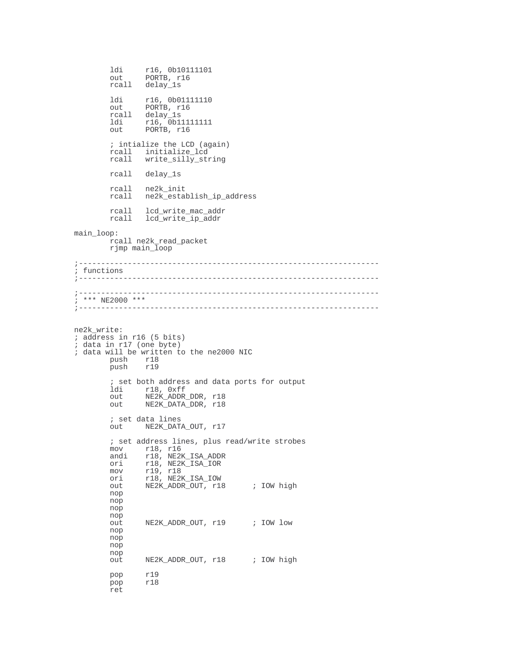```
ldi r16, 0b10111101<br>
out PORTB, r16
                PORTB, r16
        rcall delay_1s
        ldi r16, 0b011111110<br>
out PORTB, r16
                PORTB, r16
        rcall delay_1s<br>ldi r16,0bl1
        ldi r16, 0b11111111
        out PORTB, r16
        ; intialize the LCD (again)
        rcall initialize_lcd<br>rcall write silly sti
               write_silly_string
        rcall delay_1s
        rcall ne2k_init
        rcall ne2k_establish_ip_address
        rcall lcd_write_mac_addr
        rcall lcd_write_ip_addr
main_loop:
        rcall ne2k_read_packet
        rjmp main_loop
;-------------------------------------------------------------------
; functions
              ;-------------------------------------------------------------------
;-------------------------------------------------------------------
; *** NE2000 ***
;-------------------------------------------------------------------
ne2k_write:
; address in r16 (5 bits)
; data in r17 (one byte)
; data will be written to the ne2000 NIC
        push r18<br>push r19
              push r19
        ; set both address and data ports for output
        ldi r18, 0xff
        out NE2K_ADDR_DDR, r18
        out NE2K_DATA_DDR, r18
        ; set data lines
               out NE2K_DATA_OUT, r17
        ; set address lines, plus read/write strobes
        mov r18, r16
        andi r18, NE2K_ISA_ADDR
        ori r18, NE2K_ISA_IOR<br>mov r19 r18
        mov r19, r18
        ori r18, NE2K_ISA_IOW
        out NE2K_ADDR_OUT, r18 ; IOW high
        nop
        nop
        nop
        nop
        out NE2K_ADDR_OUT, r19 ; IOW low
        nop
        nop
        nop
        nop
        out NE2K ADDR OUT, r18 ; IOW high
        pop r19
        pop r18
        ret
```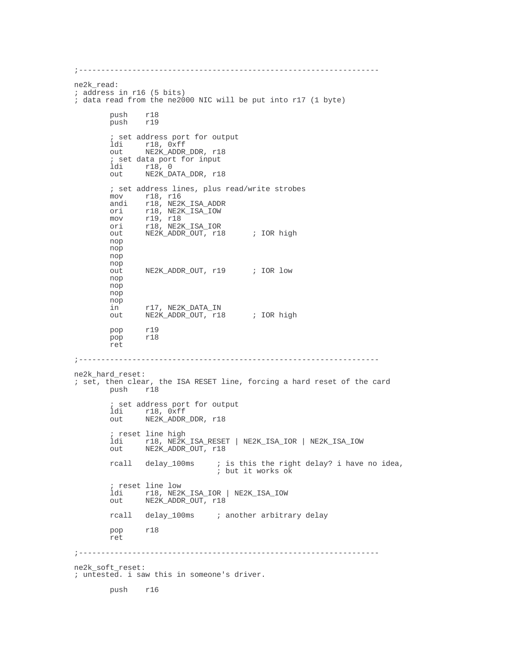```
;-------------------------------------------------------------------
ne2k_read:
; address in r16 (5 bits)
; data read from the ne2000 NIC will be put into r17 (1 byte)
       push r18<br>push r19
             push r19
       ; set address port for output
       ldi r18, Oxff<br>out NE2K_ADDR_
               NE2K_ADDR_DDR, r18
       ; set data port for input
        ldi r18, 0
        out NE2K_DATA_DDR, r18
       ; set address lines, plus read/write strobes
        mov r18, r16
        andi r18, NE2K_ISA_ADDR
       ori r18, NE2K_ISA_IOW
        mov r19, r18
        ori r18, NE2K_ISA_IOR
        out NE2K_ADDR_OUT, r18 ; IOR high
       nop
       nop
       nop
       nop
       out NE2K_ADDR_OUT, r19 ; IOR low
       nop
       nop
       nop
       nop<br>in
              in r17, NE2K_DATA_IN
       out NE2K_ADDR_OUT, r18 ; IOR high
       pop r19<br>pop r18
              pop r18
       ret
;-------------------------------------------------------------------
ne2k_hard_reset:
; set, then clear, the ISA RESET line, forcing a hard reset of the card
             push r18
        ; set address port for output
        ldi r18, 0xff
       out NE2K_ADDR_DDR, r18
       ; reset line high
       ldi r18, NE2K_ISA_RESET | NE2K_ISA_IOR | NE2K_ISA_IOW
               NE2K_ADDR_OUT, r18
       rcall delay_100ms ; is this the right delay? i have no idea,
                               ; but it works ok
       ; reset line low
        ldi r18, NE2K_ISA_IOR | NE2K_ISA_IOW
        out NE2K_ADDR_OUT, r18
       rcall delay_100ms ; another arbitrary delay
       pop r18
       ret
;-------------------------------------------------------------------
ne2k_soft_reset:
; untested. i saw this in someone's driver.
       push r16
```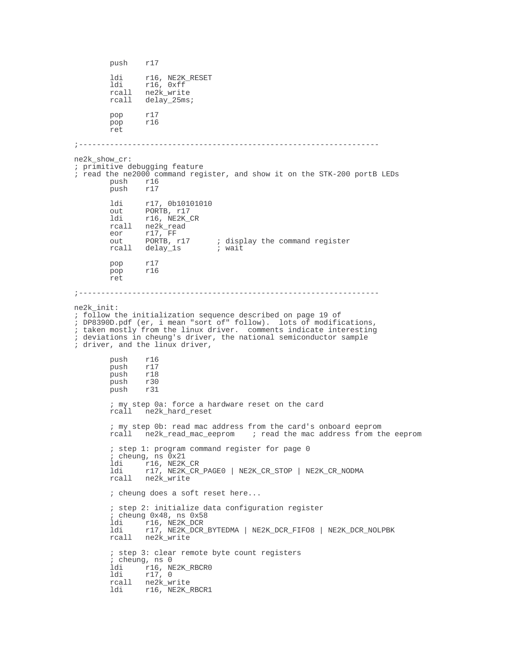push r17 ldi r16, NE2K\_RESET ldi r16, 0xff rcall ne2k\_write<br>rcall delay 25ms delay\_25ms; pop r17<br>pop r16 pop ret ;------------------------------------------------------------------ ne2k\_show\_cr: ; primitive debugging feature ; read the ne2000 command register, and show it on the STK-200 portB LEDs push r16<br>push r17 push 1di r17, 0b10101010<br>out PORTB, r17 out PORTB, r17<br>
ldi r16 NE2K ldi r16, NE2K\_CR<br>rcall ne2k\_read ne2k\_read eor r17, FF<br>out PORTB, r17 out PORTB, r17 ; display the command register<br>rcall delay\_1s ; wait delay\_1s pop r17 pop r16 ret ;------------------------------------------------------------------ ne2k\_init: ; follow the initialization sequence described on page 19 of ; DP8390D.pdf (er, i mean "sort of" follow). lots of modifications, ; taken mostly from the linux driver. comments indicate interesting ; deviations in cheung's driver, the national semiconductor sample ; driver, and the linux driver, push r16<br>push r17 push r17<br>push r18 push push r30<br>push r31 push r31 ; my step 0a: force a hardware reset on the card rcall ne2k\_hard\_reset ; my step 0b: read mac address from the card's onboard eeprom rcall ne2k\_read\_mac\_eeprom ; read the mac address from the eeprom ; step 1: program command register for page 0 ; cheung, ns 0x21 ldi r16, NE2K\_CR<br>ldi r17 NE2K\_CR ldi r17, NE2K\_CR\_PAGE0 | NE2K\_CR\_STOP | NE2K\_CR\_NODMA ne2k\_write ; cheung does a soft reset here... ; step 2: initialize data configuration register ; cheung 0x48, ns 0x58 ldi r16, NE2K\_DCR ldi r17, NE2K\_DCR\_BYTEDMA | NE2K\_DCR\_FIFO8 | NE2K\_DCR\_NOLPBK rcall ne2k\_write ; step 3: clear remote byte count registers ; cheung, ns 0 ldi r16, NE2K\_RBCR0 ldi r17, 0 rcall ne2k\_write<br>ldi r16, NE2K H ldi r16, NE2K\_RBCR1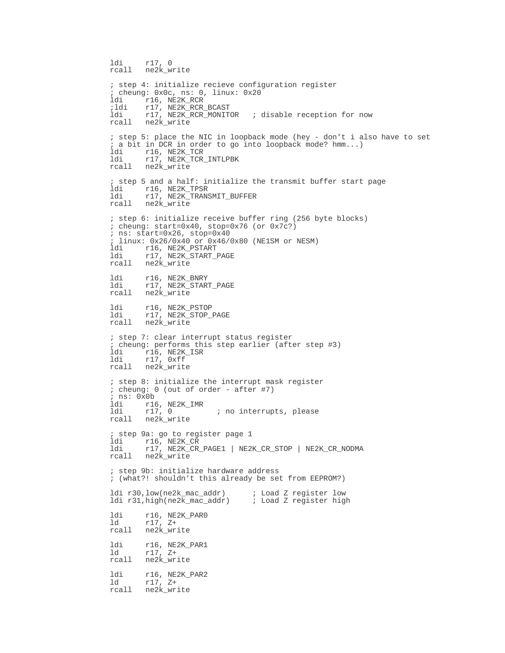```
ldi r17, 0
rcall ne2k write
; step 4: initialize recieve configuration register
; cheung: 0x0c, ns: 0, linux: 0x20
ldi r16, NE2K_RCR
;ldi r17, NE2K_RCR_BCAST<br>ldi r17, NE2K_RCR_MONITOR
                                   ; disable reception for now
rcall ne2k_write
; step 5: place the NIC in loopback mode (hey - don't i also have to set
; a bit in DCR in order to go into loopback mode? hmm...) Idi r16, NE2K TCR
ldi r16, NE2K_TCR
ldi r17, NE2K_TCR_INTLPBK
rcall ne2k_write
; step 5 and a half: initialize the transmit buffer start page<br>ldi - r16 NE2K TPSR
ldi r16, NE2K_TPSR<br>ldi r17, NE2K TRANS
ldi r17, NE2K_TRANSMIT_BUFFER
rcall ne2k_write
; step 6: initialize receive buffer ring (256 byte blocks)
; cheung: start=0x40, stop=0x76 (or 0x7c?)
; ns: start=0x26, stop=0x40
; linux: 0x26/0x40 or 0x46/0x80 (NE1SM or NESM)
       ldi r16, NE2K_PSTART
ldi r17, NE2K_START_PAGE
rcall ne2k_write
ldi r16, NE2K_BNRY<br>ldi r17, NE2K START
ldi r17, NE2K_START_PAGE
rcall ne2k_write
ldi r16, NE2K_PSTOP<br>ldi r17, NE2K STOP
ldi r17, NE2K_STOP_PAGE<br>rcall ne2k_write
        ne2k write
; step 7: clear interrupt status register
; cheung: performs this step earlier (after step #3)
ldi r16, NE2K_ISR<br>ldi r17. 0xff
        r17, 0xffrcall ne2k_write
; step 8: initialize the interrupt mask register
; cheung: 0 (out of order - after #7)
; ns: 0x0b
ldi r16, NE2K_IMR<br>ldi r17, 0
                          ; no interrupts, please
rcall ne2k_write
; step 9a: go to register page 1
ldi r16, NE2K_CR<br>ldi r17, NE2K CR
ldi r17, NE2K_CR_PAGE1 | NE2K_CR_STOP | NE2K_CR_NODMA
rcall ne2k_write
; step 9b: initialize hardware address
; (what?! shouldn't this already be set from EEPROM?)
ldi r30,low(ne2k_mac_addr) ; Load Z register low
ldi r31, high(ne2k mac addr)
1di r16, NE2K_PAR0<br>1d r17, Z+
ld r17, Z+
rcall ne2k_write
1di r16, NE2K_PAR1<br>1d r17, Z+
ld r17, Z+
rcall ne2k_write
ldi r16, NE2K_PAR2
ld r17, Z+
rcall ne2k_write
```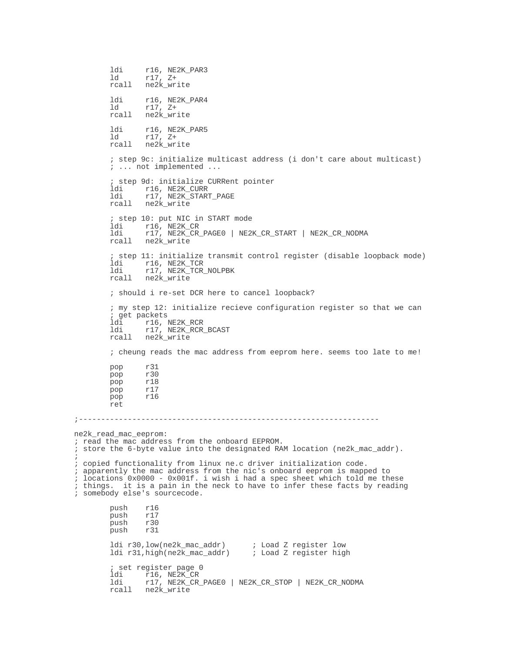```
ldi r16, NE2K_PAR3<br>1d r17, Z+
                 ld r17, Z+
        rcall ne2k_write
        1di r16, NE2K_PAR4<br>1d r17, Z+
                ld r17, Z+
        rcall ne2k_write
        1di r16, NE2K_PAR5<br>1d r17, Z+
         ld r17, Z+
         rcall ne2k_write
        ; step 9c: initialize multicast address (i don't care about multicast)
         ; ... not implemented ...
        ; step 9d: initialize CURRent pointer
        ldi r16, NE2K_CURR<br>ldi r17, NE2K START
         ldi r17, NE2K_START_PAGE
         rcall ne2k_write
        ; step 10: put NIC in START mode<br>ldi r16, NE2K_CR
         ldi r16, NE2K_CR
         ldi r17, NE2K_CR_PAGE0 | NE2K_CR_START | NE2K_CR_NODMA
        rcall ne2k_write
        ; step 11: initialize transmit control register (disable loopback mode)
        ldi r16, NE2K_TCR<br>ldi r17, NE2K TCR
         ldi r17, NE2K_TCR_NOLPBK
         rcall ne2k_write
        ; should i re-set DCR here to cancel loopback?
        ; my step 12: initialize recieve configuration register so that we can
         ; get packets
         ldi r16, NE2K_RCR
         ldi r17, NE2K_RCR_BCAST
         rcall ne2k_write
         ; cheung reads the mac address from eeprom here. seems too late to me!
        pop r31<br>pop r30
        poppop r18
        pop r17
        pop r16
        ret
;-------------------------------------------------------------------
ne2k_read_mac_eeprom:
; read the mac address from the onboard EEPROM.
; store the 6-byte value into the designated RAM location (ne2k_mac_addr).
; copied functionality from linux ne.c driver initialization code.
; apparently the mac address from the nic's onboard eeprom is mapped to
; locations 0x0000 - 0x001f. i wish i had a spec sheet which told me these
; things. it is a pain in the neck to have to infer these facts by reading
; somebody else's sourcecode.
        push r16<br>push r17
               r17<br>r30
        push r30<br>push r31
        push
        ldi r30,low(ne2k_mac_addr) ; Load Z register low<br>ldi r31,high(ne2k_mac_addr) ; Load Z register high
        ldi r31, high(ne2k_mac_addr)
         ; set register page 0
         ldi r16, NE2K_CR
         ldi r17, NE2K_CR_PAGE0 | NE2K_CR_STOP | NE2K_CR_NODMA
        rcall ne2k_write
```
;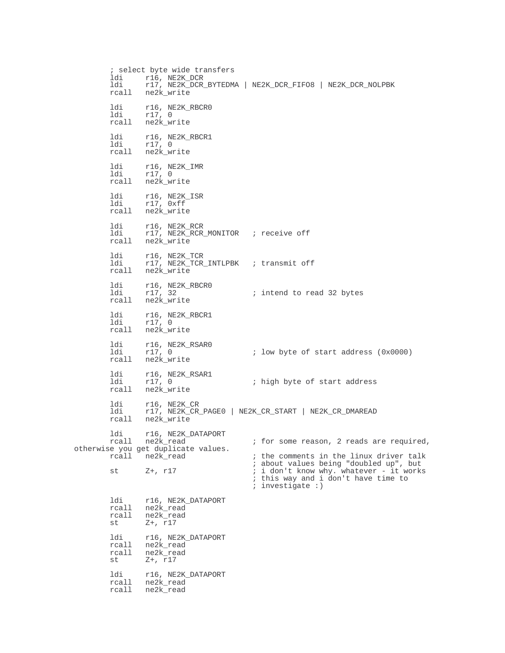; select byte wide transfers ldi r16, NE2K\_DCR<br>ldi r17, NE2K DCR r17, NE2K DCR\_BYTEDMA | NE2K\_DCR\_FIFO8 | NE2K\_DCR\_NOLPBK rcall ne2k\_write ldi r16, NE2K\_RBCR0 ldi r17, 0 rcall ne2k\_write ldi r16, NE2K\_RBCR1 ldi r17, 0 rcall ne2k\_write ldi r16, NE2K\_IMR ldi r17, 0 rcall ne2k\_write ldi r16, NE2K\_ISR ldi r17, 0xff rcall ne2k\_write ldi r16, NE2K\_RCR ldi r17, NE2K\_RCR\_MONITOR ; receive off rcall ne2k\_write ldi r16, NE2K\_TCR<br>ldi r17, NE2K TCR ldi r17, NE2K\_TCR\_INTLPBK ; transmit off<br>rcall ne2k\_write ne2k\_write ldi r16, NE2K\_RBCR0<br>1di r17, 32  $i$  intend to read 32 bytes rcall ne2k\_write ldi r16, NE2K\_RBCR1 ldi r17, 0 rcall ne2k\_write ldi r16, NE2K\_RSAR0<br>ldi r17, 0  $i$  low byte of start address (0x0000) rcall ne2k\_write ldi r16, NE2K\_RSAR1<br>ldi r17, 0 ; high byte of start address rcall ne2k\_write ldi r16, NE2K\_CR ldi r17, NE2K\_CR\_PAGE0 | NE2K\_CR\_START | NE2K\_CR\_DMAREAD rcall ne2k\_write ldi r16, NE2K\_DATAPORT<br>rcall ne2k\_read  $i$  for some reason, 2 reads are required, otherwise you get duplicate values.<br>rcall ne2k\_read  $i$  the comments in the linux driver talk ; about values being "doubled up", but st  $Z^+$ , r17  $\qquad i$  don't know why. whatever - it works ; this way and i don't have time to ; investigate :) ldi r16, NE2K\_DATAPORT<br>rcall ne2k\_read ne2k\_read rcall ne2k\_read<br>st Z+, r17 st Z+, r17 ldi r16, NE2K\_DATAPORT<br>rcall ne2k\_read rcall ne2k\_read<br>rcall ne2k\_read rcall ne2k\_read st Z+, r17 ldi r16, NE2K\_DATAPORT rcall ne2k\_read rcall ne2k\_read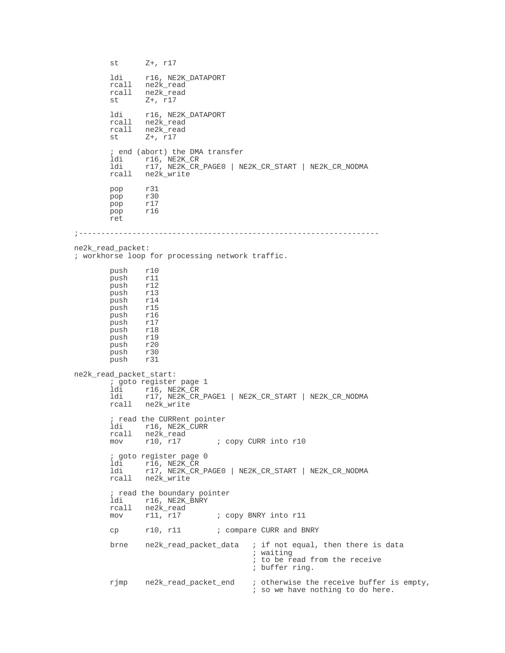```
st Z+, r17
          ldi r16, NE2K_DATAPORT
          rcall ne2k_read
         rcall ne2k_read<br>st Z+, r17
                  Z+, r17ldi r16, NE2K_DATAPORT<br>rcall ne2k read
         rcall ne2k_read<br>rcall ne2k_read
         rcall ne2k_read<br>st Z+, r17
                  Z+, r17; end (abort) the DMA transfer
         ldi r16, NE2K_CR<br>ldi r17, NE2K_CR_
          ldi r17, NE2K_CR_PAGE0 | NE2K_CR_START | NE2K_CR_NODMA
          rcall ne2k_write
         pop r31
         pop r30<br>pop r17
         pop
         pop r16
         ret
;-------------------------------------------------------------------
ne2k_read_packet:
; workhorse loop for processing network traffic.
         push r10<br>push r11
         push r11<br>push r12
         push r12<br>push r13
         push<br>push
                 r14<br>r15push r15<br>push r16
         push r16<br>push r17
         push r17<br>push r18
         push r18<br>push r19
         push
         push r20<br>push r30
         push r30<br>push r31
         push
ne2k_read_packet_start:
         % goto register page 1<br>ldi      r16, NE2K CR
          ldi r16, NE2K_CR
          ldi r17, NE2K_CR_PAGE1 | NE2K_CR_START | NE2K_CR_NODMA
         rcall ne2k_write
         ; read the CURRent pointer
         ldi r16, NE2K_CURR<br>rcall ne2k read
         rcall ne2k_read<br>mov r10, r17
                                     ; copy CURR into r10
         ; goto register page 0
         ldi r16, NE2K_CR<br>ldi r17, NE2K_CR
         ldi r17, NE2K_CR_PAGE0 | NE2K_CR_START | NE2K_CR_NODMA
                  ne2k_write
          ; read the boundary pointer
          ldi r16, NE2K_BNRY
         rcall ne2k_read<br>mov r11, r17
                                     ; copy BNRY into r11
         cp r10, r11 \qquad ; compare CURR and BNRY
         brne ne2k_read_packet_data ; if not equal, then there is data
                                               ; waiting
                                               ; to be read from the receive
                                               ; buffer ring.
         rjmp ne2k_read_packet_end ; otherwise the receive buffer is empty,
                                               ; so we have nothing to do here.
```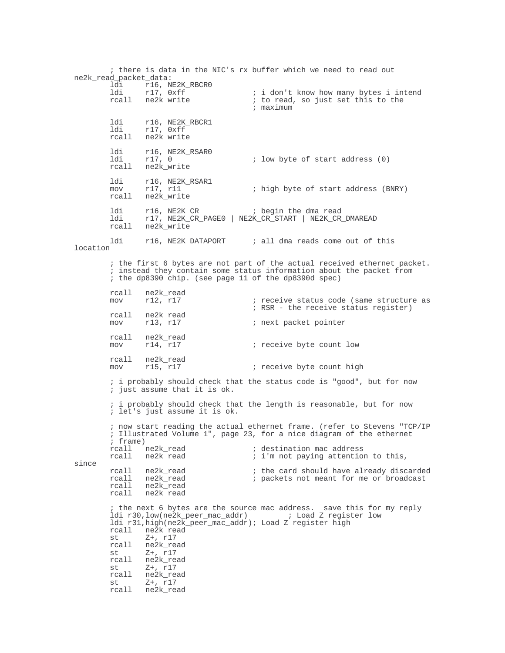; there is data in the NIC's rx buffer which we need to read out ne2k\_read\_packet\_data: ldi r16, NE2K\_RBCR0<br>ldi r17, 0xff<br>rcall ne2k\_write ldi r17, 0xff ; i don't know how many bytes i intend rcall ine2k\_write  $\qquad \qquad ;$  to read, so just set this to the ; maximum ldi r16, NE2K\_RBCR1 ldi r17, 0xff rcall ne2k\_write ldi r16, NE2K\_RSAR0<br>ldi r17, 0  $i$  low byte of start address  $(0)$ rcall ne2k\_write ldi r16, NE2K\_RSAR1<br>mov r17, r11 ; high byte of start address (BNRY) rcall ne2k\_write ldi r16, NE2K\_CR ; begin the dma read ldi r17, NE2K\_CR\_PAGE0 | NE2K\_CR\_START | NE2K\_CR\_DMAREAD rcall ne2k\_write ldi r16, NE2K\_DATAPORT ; all dma reads come out of this location ; the first 6 bytes are not part of the actual received ethernet packet. ; instead they contain some status information about the packet from ; the dp8390 chip. (see page 11 of the dp8390d spec) rcall ne2k\_read<br>mov r12, r17 ; receive status code (same structure as ; RSR - the receive status register) rcall ne2k\_read<br>mov r13, r17 ; next packet pointer rcall ne2k\_read<br>mov r14, r17 mov r14, r17 ; receive byte count low rcall ne2k\_read<br>mov r15, r17 ; receive byte count high ; i probably should check that the status code is "good", but for now ; just assume that it is ok. ; i probably should check that the length is reasonable, but for now ; let's just assume it is ok. ; now start reading the actual ethernet frame. (refer to Stevens "TCP/IP ; Illustrated Volume 1", page 23, for a nice diagram of the ethernet ; frame)<br>rcall ne2k\_read<br>rcall ne2k\_read rcall ne2k\_read ; destination mac address rcall ne2k\_read  $i$  i'm not paying attention to this, since rcall ne2k\_read ; the card should have already discarded ; packets not meant for me or broadcast rcall ne2k\_read rcall ne2k\_read ; the next 6 bytes are the source mac address. save this for my reply ldi r30,low(ne2k\_peer\_mac\_addr) ; Load Z register low ldi r31,high(ne2k\_peer\_mac\_addr); Load Z register high rcall ne2k\_read<br>st Z+.rl7 st  $Z+$ , r17<br>rcall ne2k rea ne2k\_read st Z+, r17 rcall ne2k\_read st Z+, r17<br>rcall ne2k rea ne2k\_read st Z+, r17 rcall ne2k\_read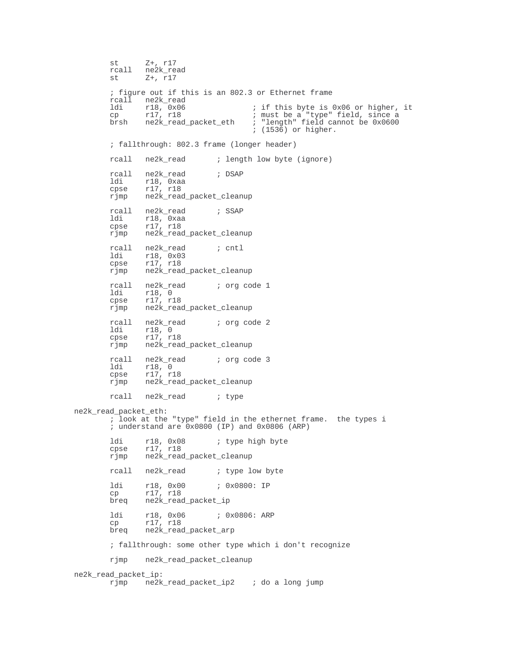st Z+, r17 rcall ne2k\_read<br>st Z+, r17 Z+, r17 ; figure out if this is an 802.3 or Ethernet frame rcall ne2k\_read<br>ldi r18, 0x06 ldi r18, 0x06 ; if this byte is 0x06 or higher, it<br>cp r17, r18 ; must be a "type" field, since a cp r17, r18 ; must be a "type" field, since a<br>brsh ne2k\_read\_packet\_eth ; "length" field cannot be 0x0600 brsh ne2k\_read\_packet\_eth ; "length" field cannot be 0x0600 ; (1536) or higher. ; fallthrough: 802.3 frame (longer header) rcall ne2k\_read ; length low byte (ignore) rcall ne2k\_read ; DSAP ldi r18, 0xaa cpse r17, r18 rjmp ne2k\_read\_packet\_cleanup rcall ne2k\_read ; SSAP ldi r18, 0xaa cpse r17, r18 rjmp ne2k\_read\_packet\_cleanup rcall ne2k\_read ; cntl ldi r18, 0x03<br>cpse r17, r18 r17, r18 rjmp ne2k\_read\_packet\_cleanup rcall ne2k\_read ; org code 1<br>1di r18.0 ldi r18, 0<br>cpse r17, r1 cpse r17, r18 rjmp ne2k\_read\_packet\_cleanup rcall ne2k\_read ; org code 2<br>ldi r18, 0 ldi r18, 0<br>cpse r17, r1 r17, r18 rjmp ne2k\_read\_packet\_cleanup rcall ne2k\_read ; org code 3<br>1di r18.0 ldi r18, 0<br>cpse r17, r1 cpse r17, r18 rjmp ne2k\_read\_packet\_cleanup rcall ne2k\_read ; type ne2k\_read\_packet\_eth: ; look at the "type" field in the ethernet frame. the types i ; understand are 0x0800 (IP) and 0x0806 (ARP) ldi r18, 0x08 ; type high byte<br>cpse r17, r18 cpse r17, r18 rjmp ne2k\_read\_packet\_cleanup rcall ne2k\_read ; type low byte ldi r18, 0x00 ; 0x0800: IP cp r17, r18 breq ne2k\_read\_packet\_ip ldi r18, 0x06 ; 0x0806: ARP cp r17, r18 breq ne2k\_read\_packet\_arp ; fallthrough: some other type which i don't recognize rjmp ne2k\_read\_packet\_cleanup ne2k\_read\_packet\_ip: rjmp ne2k\_read\_packet\_ip2 ; do a long jump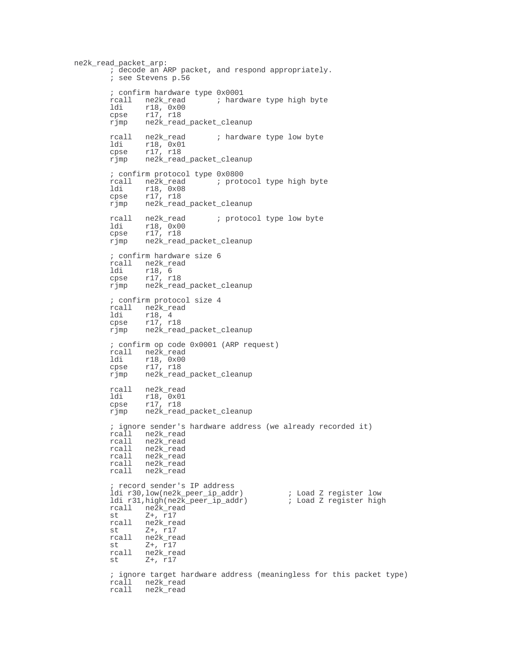ne2k\_read\_packet\_arp: ; decode an ARP packet, and respond appropriately. ; see Stevens p.56 ; confirm hardware type 0x0001 rcall ne2k\_read ; hardware type high byte<br>ldi r18, 0x00 ldi r18, 0x00<br>cpse r17, r18 cpse r17, r18<br>rjmp ne2k\_read ne2k\_read\_packet\_cleanup rcall ne2k\_read ; hardware type low byte<br>ldi r18.0x01 ldi r18, 0x01 cpse r17, r18 rjmp ne2k\_read\_packet\_cleanup ; confirm protocol type 0x0800 rcall ne2k\_read ; protocol type high byte ldi r18, 0x08<br>cpse r17, r18 cpse r17, r18 rjmp ne2k\_read\_packet\_cleanup rcall ne2k\_read ; protocol type low byte<br>1di 18,0x00 ldi r18, 0x00 cpse r17, r18 rjmp ne2k\_read\_packet\_cleanup ; confirm hardware size 6 rcall ne2k\_read<br>ldi r18, 6 ldi r18, 6 cpse r17, r18 rjmp ne2k\_read\_packet\_cleanup ; confirm protocol size 4 rcall ne2k\_read ldi r18, 4 cpse r17, r18 rjmp ne2k\_read\_packet\_cleanup ; confirm op code 0x0001 (ARP request) rcall ne2k\_read<br>ldi r18.0x00 ldi  $r18, 0x00$ <br>cpse  $r17, r18$ cpse r17, r18<br>rjmp ne2k\_read ne2k\_read\_packet\_cleanup rcall ne2k\_read<br>ldi r18.0x01 ldi r18, 0x01 cpse r17, r18 rjmp ne2k\_read\_packet\_cleanup ; ignore sender's hardware address (we already recorded it) rcall ne2k\_read<br>rcall ne2k read ne2k\_read rcall ne2k\_read rcall ne2k\_read rcall ne2k\_read rcall ne2k\_read ; record sender's IP address ldi r30,low(ne2k\_peer\_ip\_addr) ; Load Z register low ldi r31,high(ne2k\_peer\_ip\_addr) ; Load Z register high rcall ne2k\_read<br>st Z+, r17 st  $z+$ , r17<br>rcall ne2k\_re rcall ne2k\_read<br>st Z+.r17 st Z+, r17<br>rcall ne2k re ne2k\_read st  $z+, r17$ <br>rcall ne2k\_re ne2k\_read st  $Z^+$ ,  $\overline{r}$ 17 ; ignore target hardware address (meaningless for this packet type) rcall ne2k\_read rcall ne2k\_read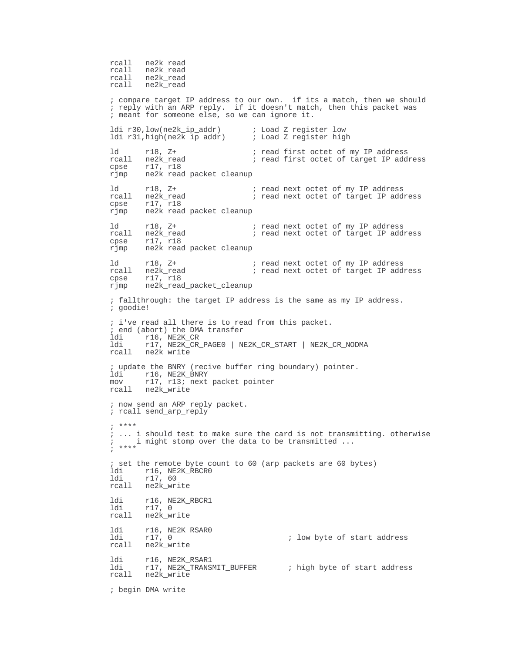rcall ne2k\_read rcall ne2k\_read<br>rcall ne2k\_read ne2k\_read rcall ne2k\_read ; compare target IP address to our own. if its a match, then we should ; reply with an ARP reply. if it doesn't match, then this packet was ; meant for someone else, so we can ignore it. ldi r30,low(ne2k\_ip\_addr) ; Load Z register low ldi r31,high(ne2k\_ip\_addr) ; Load Z register high ld r18, Z+ ; read first octet of my IP address<br>rcall ne2k\_read ; read first octet of target IP add  $\overline{\phantom{a}}$  read first octet of target IP address cpse r17, r18<br>rjmp ne2k read ne2k read packet cleanup ld r18, Z+ ; read next octet of my IP address<br>rcall ne2k\_read ; read next octet of target IP add ; read next octet of target IP address cpse r17, r18 rjmp ne2k\_read\_packet\_cleanup ld r18, Z+ ; read next octet of my IP address rcall ne2k\_read ; read next octet of target IP address cpse r17, r18 rjmp ne2k\_read\_packet\_cleanup ld r18, Z+ ; read next octet of my IP address<br>rcall ne2k\_read ; read next octet of target IP add: ; read next octet of target IP address cpse r17, r18 rjmp ne2k\_read\_packet\_cleanup ; fallthrough: the target IP address is the same as my IP address. ; goodie! ; i've read all there is to read from this packet. ; end (abort) the DMA transfer ldi r16, NE2K\_CR ldi r17, NE2K\_CR\_PAGE0 | NE2K\_CR\_START | NE2K\_CR\_NODMA rcall ne2k\_write ; update the BNRY (recive buffer ring boundary) pointer. ldi r16, NE2K\_BNRY mov r17, r13; next packet pointer rcall ne2k\_write ; now send an ARP reply packet. ; rcall send arp reply ; \*\*\*\* ; ... i should test to make sure the card is not transmitting. otherwise ; i might stomp over the data to be transmitted ... ; \*\*\*\* ; set the remote byte count to 60 (arp packets are 60 bytes) ldi r16, NE2K\_RBCR0 ldi r17, 60 rcall ne2k\_write ldi r16, NE2K\_RBCR1 ldi r17, 0 rcall ne2k write ldi r16, NE2K\_RSAR0 ; low byte of start address rcall ne2k\_write ldi r16, NE2K\_RSAR1 ldi r17, NE2K\_TRANSMIT\_BUFFER ; high byte of start address rcall ne2k\_write ; begin DMA write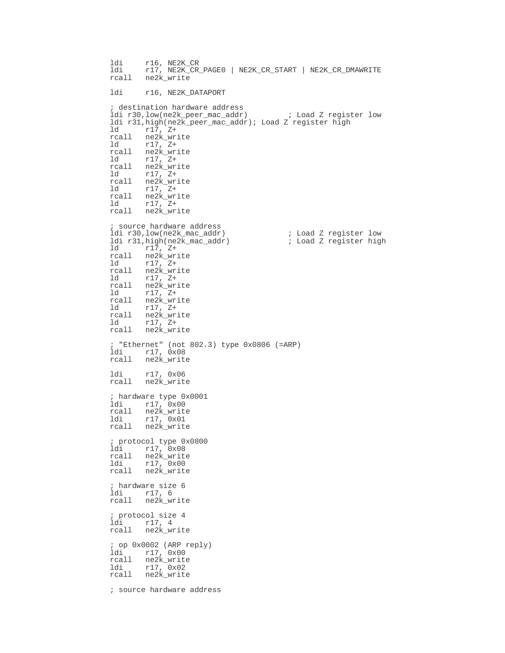ldi r16, NE2K\_CR ldi r17, NE2K\_CR\_PAGE0 | NE2K\_CR\_START | NE2K\_CR\_DMAWRITE rcall ne2k\_write ldi r16, NE2K\_DATAPORT ; destination hardware address ldi r30,low(ne2k\_peer\_mac\_addr) ; Load Z register low ldi r31,high(ne2k\_peer\_mac\_addr); Load Z register high ld r17, Z+ rcall ne2k\_write ld r17, Z+ rcall ne2k\_write  $ld \t r17, z+$ rcall ne2k\_write<br>ld r17, Z+  $r17, z+$ rcall ne2k\_write<br>ld r17, Z+ ld r17, Z+ rcall ne2k\_write<br>ld r17, Z+ ld r17, Z+ rcall ne2k\_write source hardware address ldi r30,low(ne2k\_mac\_addr) <br>1di r31,high(ne2k\_mac\_addr) <br>16 i Load Z register high ldi r31,high(ne2k\_mac\_addr) ld r17, Z+ rcall ne2k\_write ld r17, Z+ rcall ne2k\_write<br>ld r17. Z+ ld r17, Z+ rcall ne2k\_write<br>ld r17 7+ ld r17, Z+ rcall ne2k\_write ld r17, Z+ rcall ne2k\_write ld r17, Z+ rcall ne2k\_write ; "Ethernet" (not 802.3) type 0x0806 (=ARP) ldi r17, 0x08 rcall ne2k\_write ldi r17, 0x06 rcall ne2k\_write ; hardware type 0x0001 ldi r17, 0x00 rcall ne2k\_write ldi r17, 0x01 rcall ne2k\_write ; protocol type 0x0800 ldi r17, 0x08 rcall ne2k\_write ldi r17, 0x00 rcall ne2k\_write ; hardware size 6 ldi r17, 6 rcall ne2k\_write ; protocol size 4 ldi r17, 4 rcall ne2k\_write ; op 0x0002 (ARP reply) ldi r17, 0x00 rcall ne2k\_write ldi r17, 0x02 rcall ne2k\_write ; source hardware address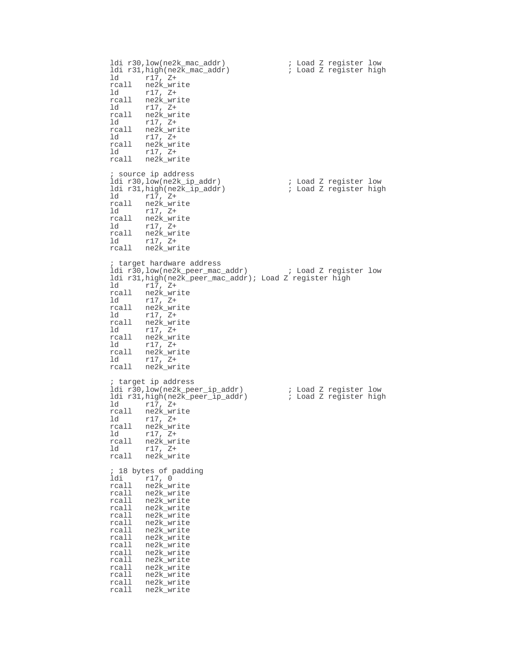ldi r30,low(ne2k\_mac\_addr) ; Load Z register low ldi r31,high(ne2k\_mac\_addr) ; Load Z register high ld r17, Z+ rcall ne2k\_write ld r17, Z+ rcall ne2k\_write ld r17, Z+ rcall ne2k\_write ld r17, Z+ rcall ne2k\_write ld r17, Z+ rcall ne2k\_write ld r17, Z+ rcall ne2k\_write ; source ip address ldi r30,low(ne2k\_ip\_addr) ; Load Z register low ldi r31,high(ne2k\_ip\_addr) ; Load Z register high ld r17, Z+ rcall ne2k\_write ld r17, Z+ rcall ne2k\_write ld r17, Z+ rcall ne2k\_write ld r17, Z+ rcall ne2k\_write ; target hardware address ldi r30,low(ne2k\_peer\_mac\_addr) ; Load Z register low ldi r31,high(ne2k\_peer\_mac\_addr); Load Z register high  $r17, z+$ rcall ne2k\_write ld r17, Z+ rcall ne2k\_write ld r17, Z+ rcall ne2k\_write<br>ld r17, Z+ ld r17, Z+ rcall ne2k write ld r17, Z+ rcall ne2k\_write ld r17, Z+ rcall ne2k\_write ; target ip address ldi r30,low(ne2k\_peer\_ip\_addr) ; Load Z register low  $ldi$  r31, high(ne2k\_peer\_ip\_addr) ld r17, Z+ rcall ne2k\_write ld r17, Z+ rcall ne2k\_write ld r17, Z+ rcall ne2k\_write ld r17, Z+ rcall ne2k\_write ; 18 bytes of padding ldi r17, 0 rcall ne2k\_write rcall ne2k\_write rcall ne2k\_write rcall ne2k\_write rcall ne2k\_write rcall ne2k\_write rcall ne2k\_write rcall ne2k\_write<br>rcall ne2k\_write ne2k\_write rcall ne2k\_write rcall ne2k\_write rcall ne2k\_write rcall ne2k\_write rcall ne2k\_write rcall ne2k\_write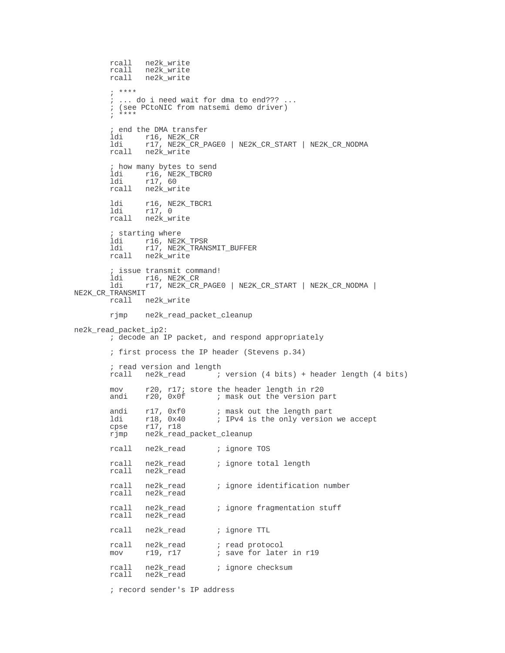```
rcall ne2k_write
         rcall ne2k_write
         rcall ne2k_write
        ; ****
        ; ... do i need wait for dma to end??? ...
        ; (see PCtoNIC from natsemi demo driver)
        ; ****
        ; end the DMA transfer
        ldi r16, NE2K_CR<br>ldi r17, NE2K CR
                 ldi r17, NE2K_CR_PAGE0 | NE2K_CR_START | NE2K_CR_NODMA
        rcall ne2k_write
        ; how many bytes to send
         ldi r16, NE2K_TBCR0
         ldi r17, 60
         rcall ne2k_write
        ldi r16, NE2K_TBCR1
         ldi r17, 0
         rcall ne2k_write
        % starting where<br>ldi r16, NE2
         ldi r16, NE2K_TPSR
         ldi r17, NE2K_TRANSMIT_BUFFER
        rcall ne2k_write
        ; issue transmit command!
        ldi r16, NE2K_CR<br>ldi r17, NE2K CR
                ldi r17, NE2K_CR_PAGE0 | NE2K_CR_START | NE2K_CR_NODMA |
NE2K_CR_TRANSMIT
        rcall ne2k_write
        rjmp ne2k_read_packet_cleanup
ne2k_read_packet_ip2:
        ; decode an IP packet, and respond appropriately
        ; first process the IP header (Stevens p.34)
        %; read version and length<br>rcall ne2k_read ;
                                 i version (4 bits) + header length (4 bits)
         mov r20, r17; store the header length in r20
         andi r20, 0x0f ; mask out the version part
        andi r17, 0xf0 ; mask out the length part<br>ldi r18, 0x40 ; IPv4 is the only version
        ldi r18, 0x40 ; IPv4 is the only version we accept<br>cpse r17, r18
              r18, 0x40<br>r17, r18
        rjmp ne2k_read_packet_cleanup
        rcall ne2k_read ; ignore TOS
                                  ; ignore total length
        rcall ne2k_read<br>rcall ne2k_read
        rcall ne2k_read ; ignore identification number
        rcall ne2k_read
        rcall ne2k_read ; ignore fragmentation stuff
        rcall ne2k_read
        rcall ne2k_read ; ignore TTL
        rcall ne2k_read ; read protocol<br>mov r19, r17 ; save for late
                                  ; save for later in r19
        rcall ne2k_read ; ignore checksum<br>rcall ne2k read
               ne2k read
```
; record sender's IP address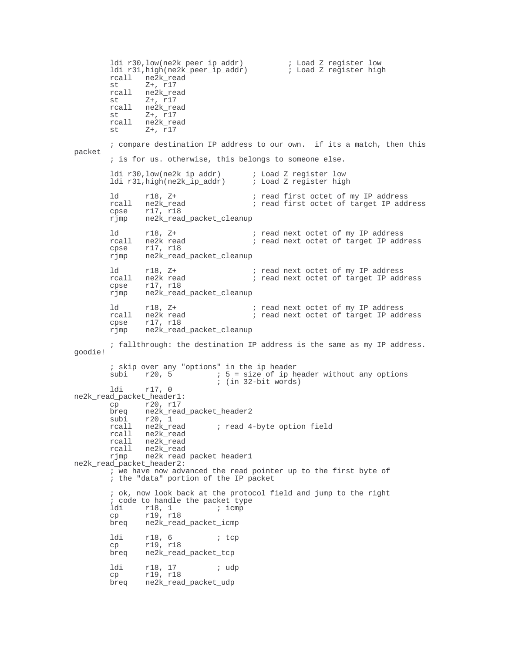ldi r30,low(ne2k\_peer\_ip\_addr) ; Load Z register low ldi r31,high(ne2k\_peer\_ip\_addr) ; Load Z register high  $rcal1$  ne2k\_read<br>st  $z+$   $r17$ st  $Z^+$ , r17<br>rcall ne2k\_re rcall ne2k\_read<br>st Z+.r17 st  $z+$ , r17<br>rcall ne2k\_re rcall ne2k\_read<br>st Z+, r17 st  $Z+$ , r17<br>rcall ne2k rea rcall ne2k\_read<br>st  $z+17$  $Z+$ ,  $r17$ ; compare destination IP address to our own. if its a match, then this packet ; is for us. otherwise, this belongs to someone else. ldi r30,low(ne2k\_ip\_addr) ; Load Z register low ldi r31,high(ne2k\_ip\_addr) ld r18, Z+  $\qquad \qquad ;$  read first octet of my IP address rcall ne2k\_read ; read first octet of target IP address cpse r17, r18 rjmp ne2k\_read\_packet\_cleanup ld r18, Z+ ; read next octet of my IP address<br>rcall ne2k\_read ; read next octet of target IP add ; read next octet of target IP address cpse r17, r18 rjmp ne2k\_read\_packet\_cleanup ld r18, Z+ ; read next octet of my IP address rcall ne2k\_read ; read next octet of target IP address cpse r17, r18 rjmp ne2k\_read\_packet\_cleanup ld r18, Z+ ; read next octet of my IP address<br>rcall ne2k\_read ; read next octet of target IP add rcall ne2k\_read ; read next octet of target IP address<br>cpse r17, r18 cpse r17, r18<br>rjmp ne2k\_read ne2k\_read\_packet\_cleanup ; fallthrough: the destination IP address is the same as my IP address. goodie! ; skip over any "options" in the ip header<br>subi  $r20$ , 5 ; 5 = size of ip head subi r20, 5  $\longrightarrow$  ; 5 = size of ip header without any options ; (in 32-bit words) ldi r17, 0 ne2k\_read\_packet\_header1: cp r20, r17<br>breq ne2k read ne2k\_read\_packet\_header2 subi r20, 1<br>rcall ne2k\_read ; read 4-byte option field rcall ne2k\_read rcall ne2k\_read rcall ne2k\_read<br>rjmp ne2k\_read\_ ne2k\_read\_packet\_header1 ne2k\_read\_packet\_header2:  $\overline{\phantom{a}}$  ive have now advanced the read pointer up to the first byte of ; the "data" portion of the IP packet ; ok, now look back at the protocol field and jump to the right ; code to handle the packet type<br>ldi r18, 1 ; icmp ldi r18, 1 ; icmp<br>cp r19, r18 r19, r18 breq ne2k\_read\_packet\_icmp ldi r18, 6 ; tcp cp r19, r18<br>breq ne2k\_read ne2k\_read\_packet\_tcp ldi r18, 17 *;* udp cp r19, r18 breq ne2k\_read\_packet\_udp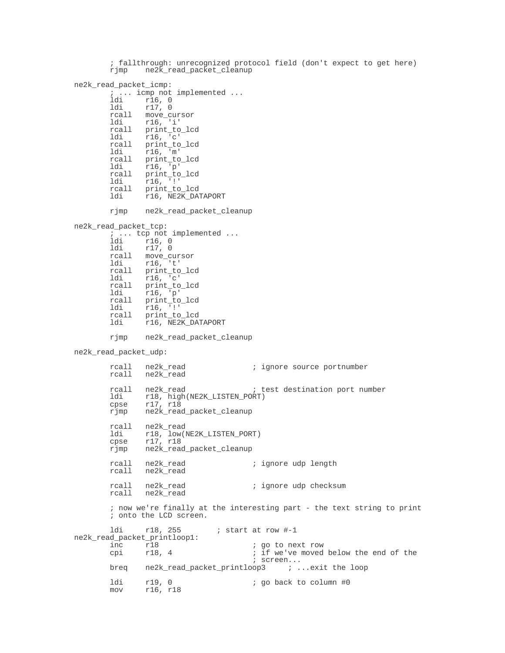; fallthrough: unrecognized protocol field (don't expect to get here) rjmp ne2k\_read\_packet\_cleanup ne2k\_read\_packet\_icmp: ; ... icmp not implemented ... ldi r16, 0 ldi r17, 0 rcall move\_cursor ldi r16, 'i' rcall print\_to\_lcd ldi r16, 'c' rcall print\_to\_lcd ldi r16, 'm' rcall print\_to\_lcd ldi r16, 'p' rcall print\_to\_lcd ldi r16, '!' rcall print\_to\_lcd<br>ldi r16, NE2K DA ldi r16, NE2K\_DATAPORT rjmp ne2k\_read\_packet\_cleanup ne2k\_read\_packet\_tcp: ; ... tcp not implemented ... ldi r16, 0 ldi r17, 0 rcall move\_cursor<br>ldi r16, 't' ldi r16, 't' rcall print\_to\_lcd<br>ldi r16. 'c' r16, rcall print\_to\_lcd<br>ldi r16 'p' ldi r16, 'p'<br>rcall print\_to rcall print\_to\_lcd ldi r16, '!' rcall print\_to\_lcd<br>ldi r16, NE2K DA  $r16$ ,  $NE2K_DATAPORT$ rjmp ne2k\_read\_packet\_cleanup ne2k\_read\_packet\_udp: rcall ne2k\_read ; ignore source portnumber rcall ne2k\_read rcall ne2k\_read ; test destination port number ldi r18, high(NE2K\_LISTEN\_PORT) cpse r17, r18 rjmp ne2k\_read\_packet\_cleanup rcall ne2k\_read<br>ldi r18. low(1 ldi r18, low(NE2K\_LISTEN\_PORT)<br>cpse r17, r18 r17, r18 rjmp ne2k\_read\_packet\_cleanup ; ignore udp length rcall ne2k\_read<br>rcall ne2k\_read rcall ne2k\_read ; ignore udp checksum rcall ne2k\_read ; now we're finally at the interesting part - the text string to print ; onto the LCD screen. ldi r18, 255 ; start at row #-1 ne2k\_read\_packet\_printloop1: inc r18  $\frac{18}{20}$  igo to next row<br>cpi r18, 4 ; if we've moved ; if we've moved below the end of the ; screen... breq ne2k\_read\_packet\_printloop3 ; ...exit the loop ldi r19, 0 ; go back to column #0 mov r16, r18 mov r16, r18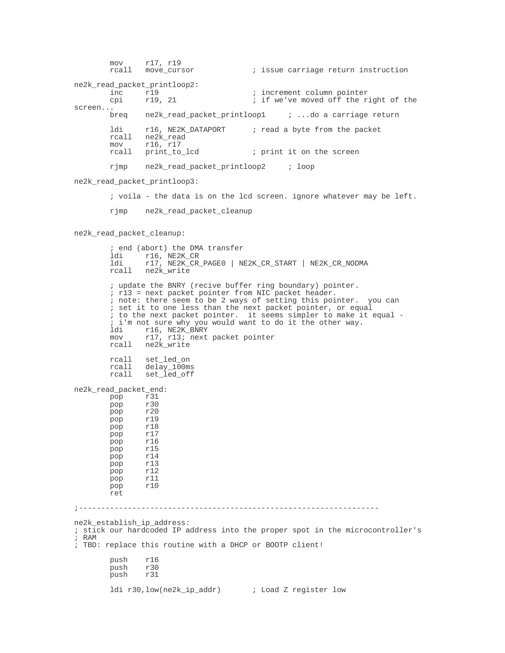mov r17, r19<br>rcall move\_cursor ; issue carriage return instruction ne2k\_read\_packet\_printloop2: inc r19 (and ratio results increment column pointer cpi r19, 21 ; if we've moved off the right of the<br>screen...<br>breq ne2k\_read\_packet\_printloop1 ; ...do a carriage return ldi r16, NE2K\_DATAPORT ; read a byte from the packet rcall ne2k\_read<br>mov r16 r17 mov r16, r17<br>rcall print\_to\_lcd ; print it on the screen rjmp ne2k\_read\_packet\_printloop2 ; loop ne2k\_read\_packet\_printloop3: ; voila - the data is on the lcd screen. ignore whatever may be left. rjmp ne2k\_read\_packet\_cleanup ne2k\_read\_packet\_cleanup: ; end (abort) the DMA transfer ldi r16, NE2K\_CR ldi r17, NE2K\_CR\_PAGE0 | NE2K\_CR\_START | NE2K\_CR\_NODMA rcall ne2k\_write ; update the BNRY (recive buffer ring boundary) pointer. ; r13 = next packet pointer from NIC packet header. ; note: there seem to be 2 ways of setting this pointer. you can ; set it to one less than the next packet pointer, or equal ; to the next packet pointer. it seems simpler to make it equal - ; i'm not sure why you would want to do it the other way. ldi r16, NE2K\_BNRY<br>mov r17, r13; next r17, r13; next packet pointer rcall ne2k\_write rcall set\_led\_on rcall delay\_100ms rcall set\_led\_off ne2k\_read\_packet\_end: pop r31<br>pop r30 pop r30<br>pop r20 r20 pop r19<br>pop r18 pop pop r17<br>pop r16 r16 pop r15 pop pop r13 pop r12 pop r11<br>pop r10 r10 ret ;------------------------------------------------------------------ ne2k\_establish\_ip\_address: ; stick our hardcoded IP address into the proper spot in the microcontroller's ; RAM ; TBD: replace this routine with a DHCP or BOOTP client! push r16<br>push r30 r 30<br>r 31  $_{\text{push}}$ ldi r30,low(ne2k\_ip\_addr) ; Load Z register low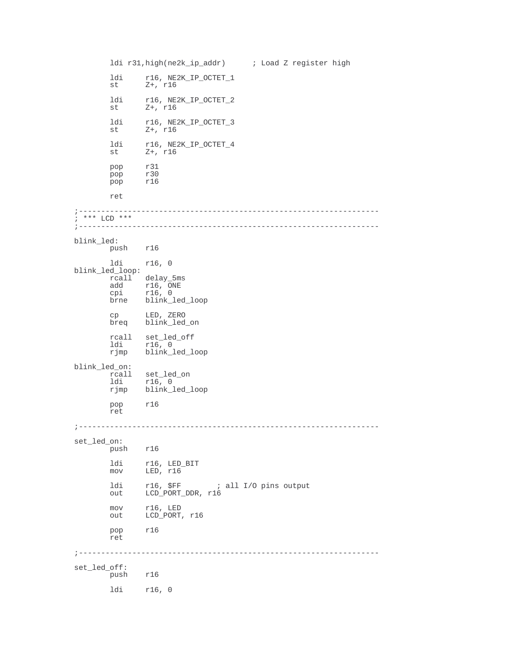```
ldi r31,high(ne2k_ip_addr) ; Load Z register high
       ldi r16, NE2K_IP_OCTET_1<br>st Z+, r16\overline{z}+, r16
        ldi r16, NE2K_IP_OCTET_2
        st Z+, r16
        ldi r16, NE2K_IP_OCTET_3
        st Z+, r16
       ldi r16, NE2K_IP_OCTET_4<br>st 2+, r16
              z+, r16
        pop r31
        pop r30
        pop r16
       ret
;-------------------------------------------------------------------
; *** LCD ***
;-------------------------------------------------------------------
blink_led:
       push r16
       ldi r16, 0
blink_led_loop:
       rcall delay_5ms<br>add r16, ONE
        add r16, ONE
        cpi r16, 0
       brne blink_led_loop
        cp LED, ZERO
        breq blink_led_on
       rcall set_led_off<br>ldi r16.0
        ldi r16, 0
        rjmp blink_led_loop
blink_led_on:
        rcall set_led_on
        ldi r16, 0
       rjmp blink_led_loop
       pop r16
       ret
;-------------------------------------------------------------------
set_led_on:
       push r16
        ldi r16, LED_BIT
        mov LED, r16
       ldi r16, $FF ; all I/O pins output<br>out LCD_PORT_DDR, r16
             LCD_PORT_DDR, r16
        mov r16, LED
        out LCD_PORT, r16
       pop r16
       ret
;-------------------------------------------------------------------
set_led_off:
       push r16
       ldi r16, 0
```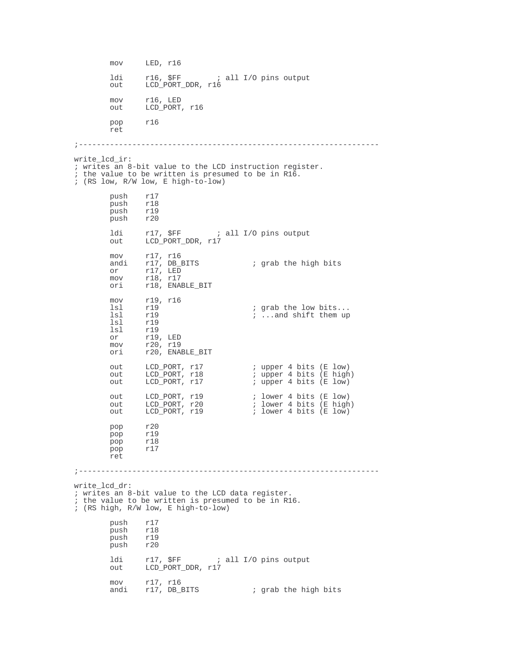mov LED, r16 ldi r16, \$FF ; all I/O pins output<br>out LCD PORT DDR, r16 LCD\_PORT\_DDR, r16 mov r16, LED out LCD\_PORT, r16 pop r16 ret ;------------------------------------------------------------------ write lcd ir: ; writes an 8-bit value to the LCD instruction register. ; the value to be written is presumed to be in R16. ; (RS low, R/W low, E high-to-low) push r17<br>push r18 push r18<br>push r19 push r19<br>push r20 push ldi r17, \$FF ; all I/O pins output<br>out LCD\_PORT\_DDR, r17 LCD\_PORT\_DDR, r17 mov r17, r16<br>andi r17, DB\_BITS andi r17,  $DB_BITS$  ; grab the high bits or r17. LED or r17, LED mov r18, r17 ori r18, ENABLE\_BIT mov r19, r16<br>1sl r19 lsl r19 ; grab the low bits...<br>1sl r19 ; ...and shift them up lsl r19 ; ...and shift them up<br>
lsl r19 lsl r19<br>lsl r19 lsl r19<br>or r19 or r19, LED mov r20, r19 ori r20, ENABLE\_BIT out LCD\_PORT, r17 : upper 4 bits (E low)<br>
out LCD\_PORT, r18 : upper 4 bits (E high<br>
out LCD\_PORT, r17 : upper 4 bits (E low) out LCD\_PORT, r18 : upper 4 bits (E high) out LCD\_PORT, r17  $\qquad \qquad ;$  upper 4 bits (E low) out LCD\_PORT, r19 ; lower 4 bits (E low)<br>
out LCD\_PORT, r20 ; lower 4 bits (E high<br>
out LCD\_PORT, r19 ; lower 4 bits (E low) out LCD\_PORT, r20  $\qquad \qquad ;$  lower 4 bits (E high) out LCD\_PORT, r19  $\qquad \qquad ;$  lower 4 bits (E low) pop r20 pop r19<br>pop r18 pop r18<br>pop r17  $r17$ ret ;------------------------------------------------------------------ write lcd dr: ; writes an 8-bit value to the LCD data register. ; the value to be written is presumed to be in R16. ; (RS high, R/W low, E high-to-low) push r17<br>push r18 push<br>push push r19<br>push r20 push r20 ldi r17, \$FF ; all I/O pins output out LCD\_PORT\_DDR, r17 mov r17, r16<br>andi r17, DB\_BITS ; grab the high bits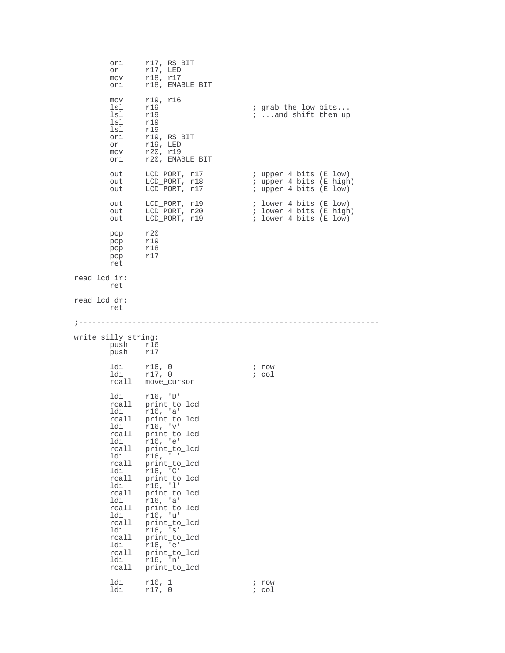|              | orı<br>or<br>mov<br>ori                                                                                                                                                                             | $r17$ , $RS_BIT$<br>$r17$ , LED<br>r18, r17<br>r18, ENABLE_BIT                                                                                                                                                                                                                                                                                         |                                                                             |
|--------------|-----------------------------------------------------------------------------------------------------------------------------------------------------------------------------------------------------|--------------------------------------------------------------------------------------------------------------------------------------------------------------------------------------------------------------------------------------------------------------------------------------------------------------------------------------------------------|-----------------------------------------------------------------------------|
|              | mov<br>lsl<br>lsl<br>lsl<br>lsl<br>ori<br>or<br>mov<br>ori                                                                                                                                          | r19, r16<br>r19<br>r19<br>r19<br>r19<br>r19, RS_BIT<br>$r19$ , LED<br>r20, r19<br>r20, ENABLE_BIT                                                                                                                                                                                                                                                      | ; grab the low bits<br><i>i</i> and shift them up                           |
|              | out<br>out<br>out                                                                                                                                                                                   | LCD_PORT, r17<br>LCD_PORT, r18<br>LCD_PORT, r17                                                                                                                                                                                                                                                                                                        | ; upper 4 bits (E low)<br>; upper 4 bits (E high)<br>; upper 4 bits (E low) |
|              | out<br>out<br>out                                                                                                                                                                                   | LCD_PORT, r19<br>LCD_PORT, r20<br>LCD_PORT, r19                                                                                                                                                                                                                                                                                                        | ; lower 4 bits (E low)<br>; lower 4 bits (E high)<br>; lower 4 bits (E low) |
|              | pop<br>pop<br>pop<br>pop<br>ret                                                                                                                                                                     | r20<br>r19<br>r18<br>r17                                                                                                                                                                                                                                                                                                                               |                                                                             |
| read lcd ir: | ret                                                                                                                                                                                                 |                                                                                                                                                                                                                                                                                                                                                        |                                                                             |
| read lcd dr: | ret                                                                                                                                                                                                 |                                                                                                                                                                                                                                                                                                                                                        |                                                                             |
|              |                                                                                                                                                                                                     |                                                                                                                                                                                                                                                                                                                                                        |                                                                             |
|              | write_silly_string:<br>push<br>push                                                                                                                                                                 | r16<br>r17                                                                                                                                                                                                                                                                                                                                             |                                                                             |
|              | ldi<br>ldi<br>rcall                                                                                                                                                                                 | r16, 0<br>r17, 0<br>move_cursor                                                                                                                                                                                                                                                                                                                        | ; row<br>; col                                                              |
|              | ldi<br>rcall<br>ldi<br>rcall<br>ldi<br>rcall<br>ldi<br>rcall<br>ldi<br>rcall<br>ldi<br>rcall<br>ldi<br>rcall<br>ldi<br>rcall<br>ldi<br>rcall<br>ldi<br>rcall<br>ldi<br>rcall<br>ldi<br>rcall<br>ldi | r16, 'D'<br>print_to_lcd<br>r16, 'a'<br>print_to_lcd<br>r16, 'v'<br>print to lcd<br>r16, 'e'<br>print to lcd<br>r16, "''<br>print to lcd<br>r16, 'C'<br>print to lcd<br>r16, '1'<br>print to lcd<br>r16, 'a'<br>print_to_lcd<br>r16, 'u'<br>print to lcd<br>r16, 's'<br>print_to_lcd<br>r16, 'e'<br>print to lcd<br>r16, 'n'<br>print_to_lcd<br>r16, 1 | ; row                                                                       |
|              | ldi                                                                                                                                                                                                 | r17, 0                                                                                                                                                                                                                                                                                                                                                 | col                                                                         |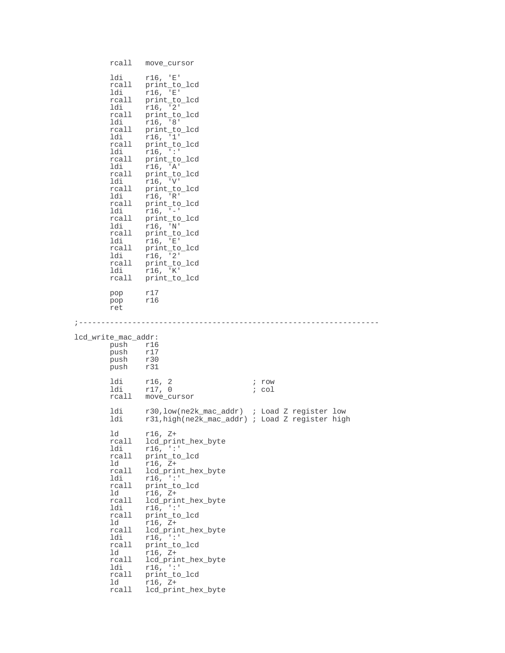```
rcall move_cursor
       ldi r16, 'E'
       rcall print_to_lcd
        ldi r16, 'E'
        rcall print_to_lcd
       ldi r16, '2'
       rcall print_to_lcd
        ldi r16, '8'
        rcall print_to_lcd
       ldi r16, '1'
       rcall print_to_lcd
        ldi r16, ':'
        rcall print_to_lcd
        ldi r16, 'A'
        rcall print_to_lcd
        ldi r16, 'V'
       rcall print_to_lcd
        ldi r16, 'R'
        rcall print_to_lcd
       ldi r16, '-'
       rcall print_to_lcd
        ldi r16, 'N'
        rcall print_to_lcd
       ldi r16, 'E'
        rcall print_to_lcd
        ldi r16, '2'
        rcall print_to_lcd
        ldi r16, 'K'
        rcall print_to_lcd
       pop r17
       pop r16
       ret
;-------------------------------------------------------------------
lcd write mac addr:
       push r16<br>push r17
       push
       push r30<br>push r31
             push r31
       ldi r16, 2 ; row<br>ldi r17, 0 ; col
        ldi r17, 0 ; col
        rcall move_cursor
       ldi r30,low(ne2k_mac_addr) ; Load Z register low<br>ldi r31,high(ne2k_mac_addr) ; Load Z register high
              r31,high(ne2k_mac_addr) ; Load Z register high
       ld r16, Z+
       rcall lcd_print_hex_byte
        ldi r16, ':'
        rcall print_to_lcd
       ld r16, Z+
       rcall lcd_print_hex_byte
        ldi r16, ':'
        rcall print_to_lcd
        ld r16, Z+
        rcall lcd_print_hex_byte
       ldi r16, \cdot\cdot\cdotrcall print_to_lcd<br>ld r16, Z+
               r16, Z+rcall lcd_print_hex_byte<br>ldi r16, ':'
       ldi r16, ':'<br>rcall print to
       rcall print_to_lcd<br>ld r16, Z+
        ld r16, Z+
        rcall lcd_print_hex_byte
       ldi r16, ':'<br>rcall print to
              print_to_lcd
       ld r16, Z+
       rcall lcd_print_hex_byte
```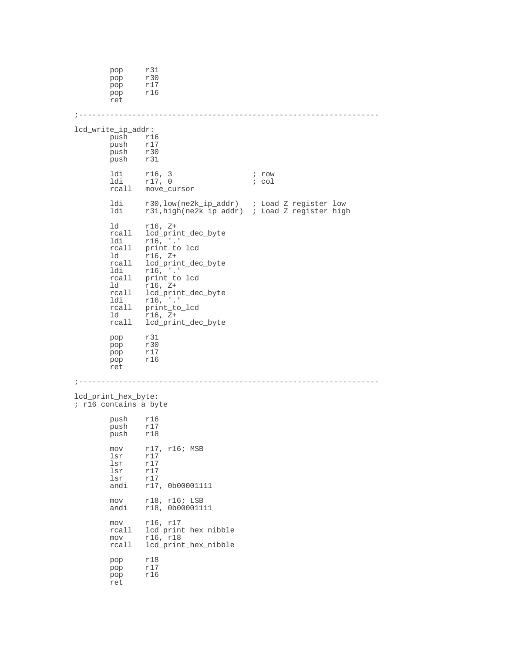pop r31<br>pop r30 pop r30<br>pop r17  $r17$ pop r16 ret ;------------------------------------------------------------------ lcd\_write\_ip\_addr:<br>push rl  $r16$ <br> $r17$ push r17<br>push r30 push<br>push push r31 ldi r16, 3 ; row<br>ldi r17, 0 ; col  $r17, 0$ rcall move\_cursor ldi r30,low(ne2k\_ip\_addr) ; Load Z register low ldi r31,high(ne2k\_ip\_addr) ; Load Z register high ld r16, Z+ rcall lcd\_print\_dec\_byte<br>ldi r16, .' ldi r16, '.' rcall print\_to\_lcd ld r16, Z+ rcall lcd\_print\_dec\_byte<br>ldi r16, .' ldi r16, '.' rcall print\_to\_lcd ld r16, Z+<br>rcall lcd prim lcd\_print\_dec\_byte ldi r16, '.' rcall print\_to\_lcd ld r16, Z+<br>rcall lcd prim 110, \_<br>lcd\_print\_dec\_byte pop r31 pop r30<br>pop r17  $r17$ pop r16 ret ;------------------------------------------------------------------ lcd\_print\_hex\_byte: ; r16 contains a byte push r16<br>push r17 push<br>push push r18 mov r17, r16; MSB lsr r17  $\begin{array}{cc} \n 1sr & r17 \\
 \n 1sr & r17\n \end{array}$ lsr r17<br>lsr r17 lsr r17<br>andi r17 r17, 0b00001111 mov r18, r16; LSB<br>andi r18, 0b000011 r18, 0b00001111 mov r16, r17 rcall lcd\_print\_hex\_nibble mov r16, r18 rcall lcd\_print\_hex\_nibble pop r18<br>pop r17 r17<br>r16  $_{\rm pop}$ ret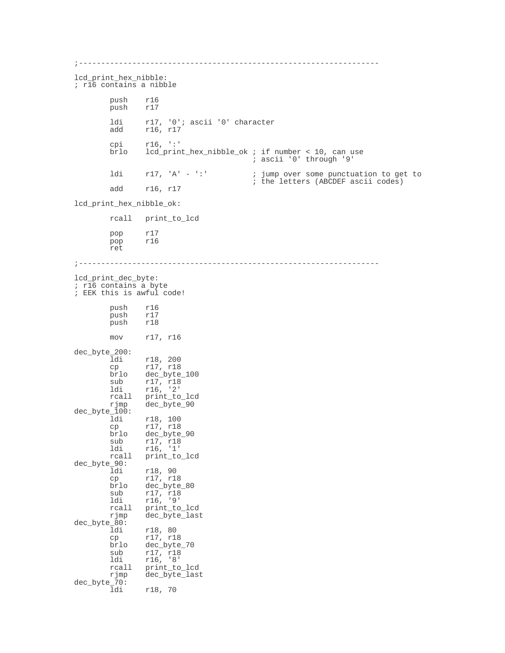```
;-------------------------------------------------------------------
lcd_print_hex_nibble:
; r16 contains a nibble
        push r16<br>push r17
        push
         ldi r17, '0'; ascii '0' character
         add r16, r17
        cpi r16, ':'<br>brlo lcd_prin
         brlo lcd_print_hex_nibble_ok ; if number < 10, can use
                                            ; ascii '0' through '9'
        ldi r17, 'A' - ':' ; jump over some punctuation to get to
                                           ; the letters (ABCDEF ascii codes)
        add r16, r17
lcd_print_hex_nibble_ok:
        rcall print_to_lcd
        pop r17<br>pop r16
               r16
        ret
;-------------------------------------------------------------------
lcd_print_dec_byte:
; r16 contains a byte
; EEK this is awful code!
        push r16<br>push r17
               r17<br>r18
        push
        mov r17, r16
dec_byte_200:
        ldi r18, 200<br>cp r17, r18
        cp r17, r18<br>brlo dec byte
         brlo dec_byte_100
         sub r17, r18
        ldi r16, '2'<br>rcall print to
        rcall print_to_lcd<br>rjmp dec_byte_90
                 dec_byte_90
dec_byte_100:<br>ldi
         ldi r18, 100
         cp r17, r18
        brlo dec_byte_90<br>sub r17, r18
         sub r17, r18
         ldi r16, '1'
         rcall print_to_lcd
dec_byte_90:<br>ldi
         ldi r18, 90
         cp r17, r18
         brlo dec_byte_80
         sub r17, r18
         ldi r16, '9'
        rcall print_to_lcd<br>rjmp dec_byte_last
                 dec_byte_last
dec_byte_80:
                 r18, 80
         cp r17, r18
         brlo dec_byte_70
         sub r17, r18
         ldi r16, '8'
        rcall print_to_lcd<br>rjmp dec_byte_last
                 dec_byte_last
dec_byte_70:<br>ldi
                ldi r18, 70
```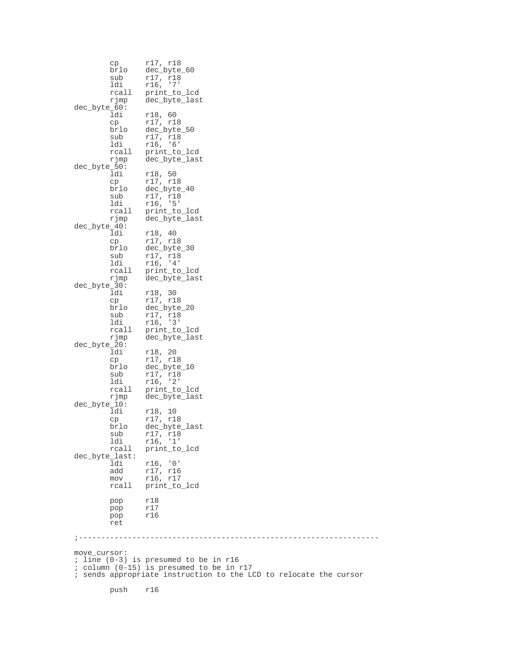cp r17, r18 brlo dec\_byte\_60 sub r17, r18<br>1di r16, '7' ldi r16, '7'<br>rcall print\_to rcall print\_to\_lcd<br>rjmp dec\_byte\_last dec\_byte\_last dec\_byte\_60:<br>ldi ldi r18, 60<br>cp r17, r1<br>brlo dec\_byt cp r17, r18 brlo dec\_byte\_50 sub r17, r18 ldi r16, '6' rcall print\_to\_lcd<br>rjmp dec\_byte\_last dec\_byte\_last dec\_byte\_50: r18, 50 cp r17, r18 brlo dec\_byte\_40 sub r17, r18 ldi r16, '5' rcall print\_to\_lcd<br>rjmp dec\_byte\_last dec\_byte\_last dec\_byte\_40: r18, 40 cp r17, r18 brlo dec\_byte\_30 sub r17, r18 ldi r16, '4' rcall print\_to\_lcd rjmp dec\_byte\_last dec\_byte\_30: ldi r18, 30<br>cp r17, r18<br>brlo dec byte cp r17, r18 brlo dec\_byte\_20 sub r17, r18 ldi r16, '3' rcall print\_to\_lcd<br>rimp dec byte last dec\_byte\_last dec\_byte\_20: r18, 20 cp r17, r18 brlo dec\_byte\_10 sub r17, r18 ldi r16, '2' rcall print\_to\_lcd rjmp dec\_byte\_last dec\_byte\_10:<br>ldi ldi r18, 10 cp r17, r18 brlo dec\_byte\_last sub r17, r18 ldi r16, '1' rcall print\_to\_lcd dec\_byte\_last: ldi r16, '0' add r17, r16 mov r16, r17 rcall print\_to\_lcd pop r18 pop r17<br>pop r16 r16 ret ;------------------------------------------------------------------ move\_cursor: ; line (0-3) is presumed to be in r16 ; column (0-15) is presumed to be in r17 ; sends appropriate instruction to the LCD to relocate the cursor push r16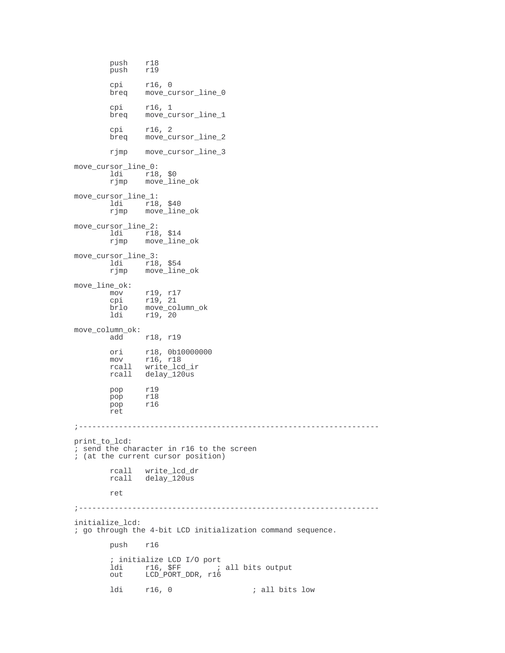```
push r18<br>push r19
       push
       cpi r16, 0
       breq move_cursor_line_0
        cpi r16, 1
        breq move_cursor_line_1
       cpi r16, 2
       breq move_cursor_line_2
       rjmp move_cursor_line_3
move_cursor_line_0:
       ldi r18, $0<br>rjmp move_lii
              move_line_ok
move_cursor_line_1:
        ldi r18, $40
        rjmp move_line_ok
move_cursor_line_2:
        ldi r18, $14
        rjmp move_line_ok
move_cursor_line_3:
       ldi r18, $54
       rjmp move_line_ok
move_line_ok:
        mov r19, r17
        cpi r19, 21
        brlo move_column_ok
       ldi r19, 20
move_column_ok:
              r18, r19
       ori r18, 0b10000000
        mov r16, r18
        rcall write_lcd_ir
       rcall delay_120us
       pop r19<br>pop r18
       pop<br>pop
              pop r16
       ret
;-------------------------------------------------------------------
print_to_lcd:
; send the character in r16 to the screen
; (at the current cursor position)
        rcall write_lcd_dr
        rcall delay_120us
       ret
;-------------------------------------------------------------------
initialize_lcd:
; go through the 4-bit LCD initialization command sequence.
       push r16
       ; initialize LCD I/O port
        ldi r16, $FF ; all bits output
        out LCD_PORT_DDR, r16
       ldi r16, 0 ; all bits low
```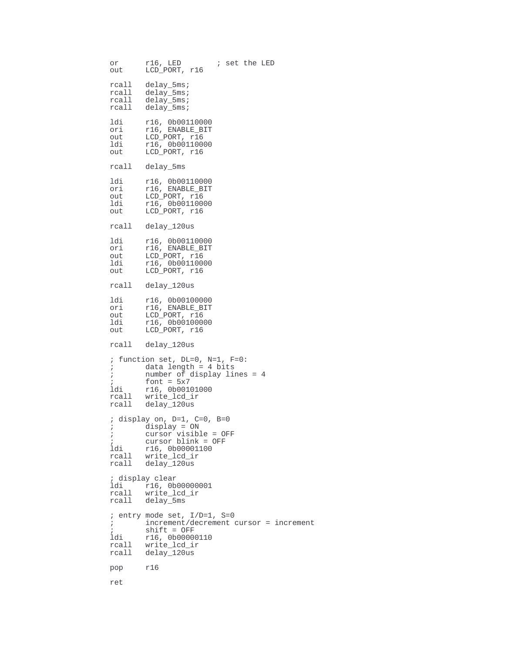```
or r16, LED ; set the LED
out LCD_PORT, r16
rcall delay_5ms;<br>rcall delay_5ms;
rcall delay_5ms;
rcall delay_5ms;
rcall delay_5ms;
ldi r16, 0b00110000
ori r16, ENABLE_BIT
out LCD_PORT, r16
ldi r16, 0b00110000
out LCD_PORT, r16
rcall delay_5ms
ldi r16, 0b00110000
ori r16, ENABLE_BIT
out LCD_PORT, r16
ldi r16, 0b00110000
out LCD_PORT, r16
rcall delay_120us
ldi r16, 0b00110000
ori r16, ENABLE_BIT
out LCD_PORT, r16<br>1di r16, 0b0011000
1di r16, 0b00110000<br>
out LCD_PORT, r16
        LCD_PORT, r16
rcall delay_120us
ldi r16, 0b00100000
ori r16, ENABLE_BIT
out LCD_PORT, r16<br>1di r16, 0b0010000
ldi r16, 0b00100000
out LCD_PORT, r16
rcall delay_120us
; function set, DL=0, N=1, F=0:<br>; data length = 4 bits
% data length = 4 bits<br>% number of display lin
; number of display lines = 4
; font = 5x7ldi r16, 0b00101000<br>rcall write lcd ir
rcall write_lcd_ir
rcall delay_120us
; display on, D=1, C=0, B=0
; display = ON
; cursor visible = OFF
; cursor blink = OFF
ldi r16, 0b00001100
rcall write_lcd_ir
rcall delay_120us
; display clear
ldi r16, 0b00000001
rcall write_lcd_ir
rcall delay_5ms
; entry mode set, I/D=1, S=0
;\qquad\qquad\text{increment/decrement cursor = increment}\;;\qquad\text{shift} = \alpha \text{FF}; shift = OFF
ldi r16, 0b00000110<br>rcall write_lcd ir
rcall write_lcd_ir<br>rcall delay_120us
       delay_120us
pop r16
ret
```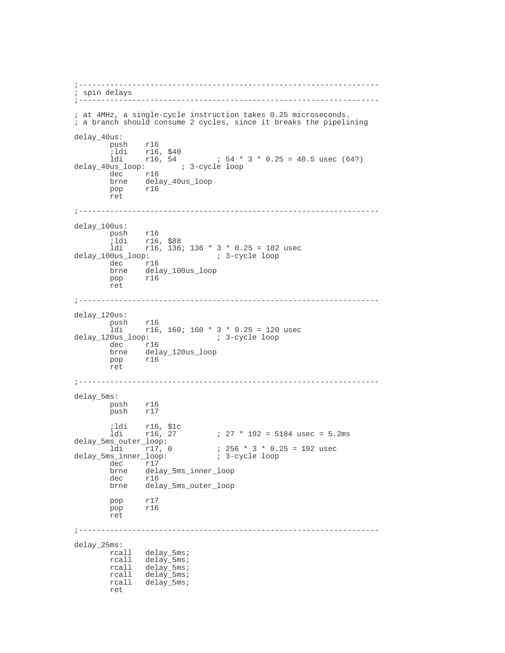```
;-------------------------------------------------------------------
; spin delays
             ;-------------------------------------------------------------------
; at 4MHz, a single-cycle instruction takes 0.25 microseconds.
; a branch should consume 2 cycles, since it breaks the pipelining
delay_40us:
         push r16<br>ildi r16,
        ;ldi r16, $40<br>ldi r16, 54
                             154 * 3 * 0.25 = 40.5 usec (64?)
delay_40us_loop: ; 3-cycle loop
         dec r16
        brne delay_40us_loop<br>pop r16
               r16ret
;-------------------------------------------------------------------
delay_100us:
       push r16<br>ildi r16
         ;ldi r16, $88
         ldi r16, 136; 136 * 3 * 0.25 = 102 usec
delay_100us_loop: i 3-cycle loop
        dec r16
         brne delay_100us_loop
         pop r16
        ret
;-------------------------------------------------------------------
delay_120us:
        push r16<br>ldi r16,
\text{ildi} r16, 160; 160 * 3 * 0.25 = 120 usec<br>delay 120us loop: ; 3-cycle loop
                       delay_120us_loop: ; 3-cycle loop
         dec r16
         brne delay_120us_loop
        pop r16
        ret
;-------------------------------------------------------------------
delay_5ms:
         push r16
         push r17
        % ildi r16, $1c<br>1di r16, 27
                                 l 27 * 192 = 5184 usec = 5.2ms
delay_5ms_outer_loop:
                                  lami 256 * 3 * 0.25 = 192 usec<br>13-cycle loop
delay_5ms_inner_loop:<br>delay_5ms_inner_loop:
        \begin{matrix} \text{dec} & r17 \\ \text{brne} & \text{del} \end{matrix}delay_5ms_inner_loop
         dec r16
         brne delay_5ms_outer_loop
         pop r17
         pop r16
        ret
;-------------------------------------------------------------------
delay_25ms:
         rcall delay_5ms;
         rcall delay_5ms;
         rcall delay_5ms;
         rcall delay_5ms;
         rcall delay_5ms;
```
ret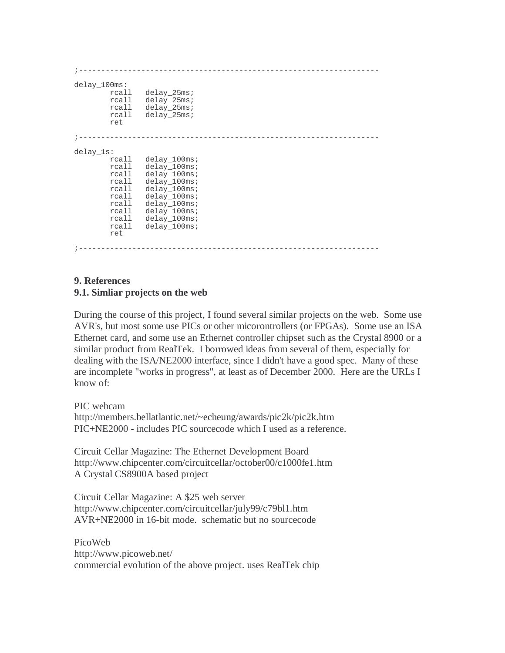|                                                                                                            | ___________________________________                                                                                                                            |
|------------------------------------------------------------------------------------------------------------|----------------------------------------------------------------------------------------------------------------------------------------------------------------|
| $delay_100ms$ :<br>rcall<br>rcall<br>rcall<br>rcall<br>ret                                                 | $delay$ 25ms;<br>delay_25ms;<br>delay_25ms;<br>delay 25ms;                                                                                                     |
|                                                                                                            |                                                                                                                                                                |
| delay_1s:<br>rcall<br>rcall<br>rcall<br>rcall<br>rcall<br>rcall<br>rcall<br>rcall<br>rcall<br>rcall<br>ret | delay_100ms;<br>$delay_100ms$<br>delay 100ms;<br>delay_100ms;<br>delay 100ms;<br>delay_100ms;<br>delay 100ms;<br>delay 100ms;<br>$delay_100ms$<br>delay 100ms; |

#### **9. References 9.1. Simliar projects on the web**

During the course of this project, I found several similar projects on the web. Some use AVR's, but most some use PICs or other micorontrollers (or FPGAs). Some use an ISA Ethernet card, and some use an Ethernet controller chipset such as the Crystal 8900 or a similar product from RealTek. I borrowed ideas from several of them, especially for dealing with the ISA/NE2000 interface, since I didn't have a good spec. Many of these are incomplete "works in progress", at least as of December 2000. Here are the URLs I know of:

PIC webcam

http://members.bellatlantic.net/~echeung/awards/pic2k/pic2k.htm PIC+NE2000 - includes PIC sourcecode which I used as a reference.

Circuit Cellar Magazine: The Ethernet Development Board http://www.chipcenter.com/circuitcellar/october00/c1000fe1.htm A Crystal CS8900A based project

Circuit Cellar Magazine: A \$25 web server http://www.chipcenter.com/circuitcellar/july99/c79bl1.htm AVR+NE2000 in 16-bit mode. schematic but no sourcecode

PicoWeb http://www.picoweb.net/ commercial evolution of the above project. uses RealTek chip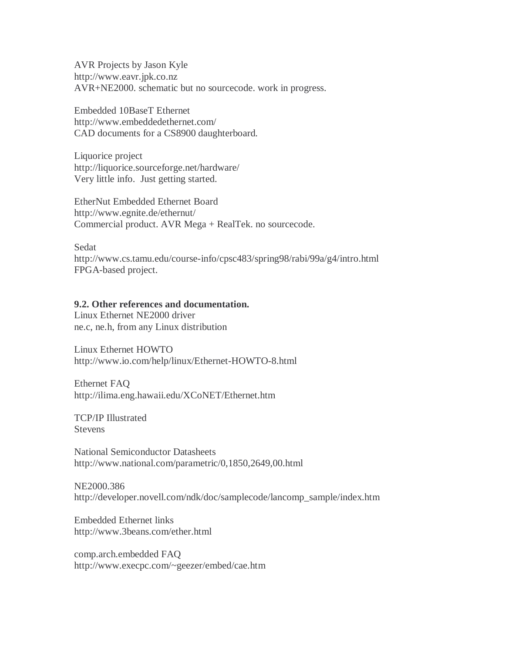AVR Projects by Jason Kyle http://www.eavr.jpk.co.nz AVR+NE2000. schematic but no sourcecode. work in progress.

Embedded 10BaseT Ethernet http://www.embeddedethernet.com/ CAD documents for a CS8900 daughterboard.

Liquorice project http://liquorice.sourceforge.net/hardware/ Very little info. Just getting started.

EtherNut Embedded Ethernet Board http://www.egnite.de/ethernut/ Commercial product. AVR Mega + RealTek. no sourcecode.

Sedat

http://www.cs.tamu.edu/course-info/cpsc483/spring98/rabi/99a/g4/intro.html FPGA-based project.

#### **9.2. Other references and documentation.**

Linux Ethernet NE2000 driver ne.c, ne.h, from any Linux distribution

Linux Ethernet HOWTO http://www.io.com/help/linux/Ethernet-HOWTO-8.html

Ethernet FAQ http://ilima.eng.hawaii.edu/XCoNET/Ethernet.htm

TCP/IP Illustrated **Stevens** 

National Semiconductor Datasheets http://www.national.com/parametric/0,1850,2649,00.html

NE2000.386 http://developer.novell.com/ndk/doc/samplecode/lancomp\_sample/index.htm

Embedded Ethernet links http://www.3beans.com/ether.html

comp.arch.embedded FAQ http://www.execpc.com/~geezer/embed/cae.htm